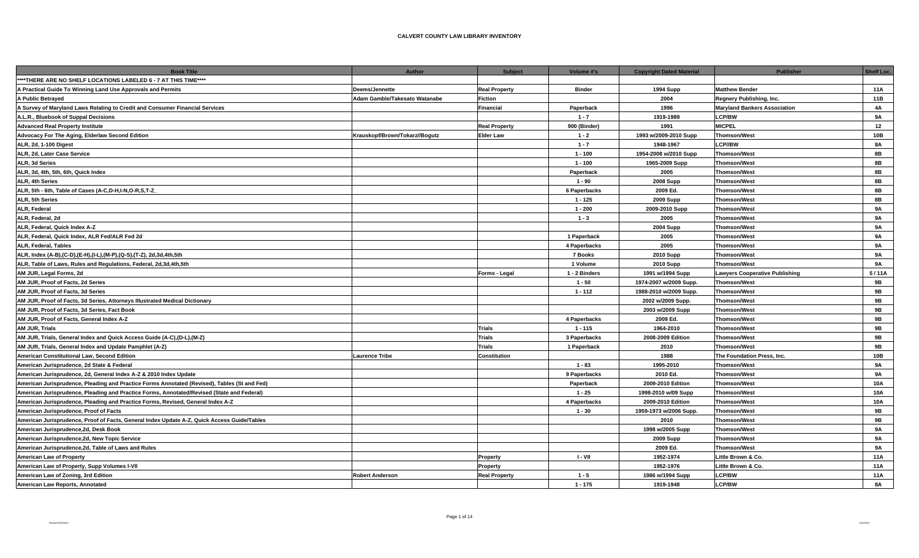| 11A<br>Deems/Jennette<br><b>Real Property</b><br><b>Binder</b><br><b>1994 Supp</b><br><b>Matthew Bender</b><br>11B<br>Adam Gamble/Takesato Watanabe<br>Fiction<br>2004<br>Regnery Publishing, Inc.<br>1996<br>Financial<br>Paperback<br><b>Maryland Bankers Association</b><br>4A<br>$1 - 7$<br>1919-1989<br><b>LCP/BW</b><br>9A<br><b>MICPEL</b><br><b>Real Property</b><br>900 (Binder)<br>1991<br>12<br><b>Thomson/West</b><br>10B<br>Krauskopf/Brown/Tokarz//Bogutz<br><b>Elder Law</b><br>$1 - 2$<br>1993 w/2009-2010 Supp<br><b>LCP//BW</b><br><b>8A</b><br>$1 - 7$<br>1948-1967<br>8B<br>$1 - 100$<br>1954-2008 w/2010 Supp<br><b>Thomson/West</b><br>8B<br>$1 - 100$<br>1965-2009 Supp<br><b>Thomson/West</b><br><b>Thomson/West</b><br>2005<br>8B<br>Paperback<br>8B<br>$1 - 90$<br><b>2008 Supp</b><br><b>Thomson/West</b><br>2009 Ed.<br>8B<br>6 Paperbacks<br><b>Thomson/West</b><br>$1 - 125$<br><b>2009 Supp</b><br><b>Thomson/West</b><br>8B<br><b>Thomson/West</b><br><b>9A</b><br>$1 - 200$<br>2009-2010 Supp<br>2005<br><b>Thomson/West</b><br>$1 - 3$<br>9A<br><b>2004 Supp</b><br><b>Thomson/West</b><br>9A<br><b>9A</b><br>1 Paperback<br>2005<br><b>Thomson/West</b><br><b>Thomson/West</b><br>2005<br><b>9A</b><br>ALR, Federal, Tables<br>4 Paperbacks<br>ALR, Index (A-B),(C-D),(E-H),(I-L),(M-P),(Q-S),(T-Z), 2d,3d,4th,5th<br>7 Books<br><b>2010 Supp</b><br><b>Thomson/West</b><br><b>9A</b><br><b>9A</b><br>ALR, Table of Laws, Rules and Regulations, Federal, 2d,3d,4th,5th<br>1 Volume<br><b>2010 Supp</b><br><b>Thomson/West</b><br>AM JUR, Legal Forms, 2d<br>1 - 2 Binders<br>1991 w/1994 Supp<br><b>Lawyers Cooperative Publishing</b><br>5/11A<br>Forms - Legal<br><b>9B</b><br>1974-2007 w/2009 Supp.<br><b>Thomson/West</b><br>$1 - 50$<br>1988-2010 w/2009 Supp.<br><b>Thomson/West</b><br>9B<br>AM JUR, Proof of Facts, 3d Series<br>$1 - 112$<br>Thomson/West<br>9B<br>AM JUR, Proof of Facts, 3d Series, Attorneys Illustrated Medical Dictionary<br>2002 w/2009 Supp.<br>9B<br>2003 w/2009 Supp<br><b>Thomson/West</b><br>2009 Ed.<br><b>Thomson/West</b><br>9B<br>4 Paperbacks<br><b>Trials</b><br>9B<br>$1 - 115$<br>1964-2010<br><b>Thomson/West</b><br>Trials<br>9B<br>AM JUR, Trials, General Index and Quick Access Guide (A-C), (D-L), (M-Z)<br>3 Paperbacks<br>2008-2009 Edition<br><b>Thomson/West</b><br><b>Trials</b><br>9 <b>B</b><br>1 Paperback<br>2010<br><b>Thomson/West</b><br>1988<br>10B<br>American Constitutional Law, Second Edition<br><b>Laurence Tribe</b><br>Constitution<br>The Foundation Press, Inc.<br>American Jurisprudence, 2d State & Federal<br>1995-2010<br>$1 - 83$<br><b>Thomson/West</b><br>9A<br>Thomson/West<br>American Jurisprudence, 2d, General Index A-Z & 2010 Index Update<br>9 Paperbacks<br>2010 Ed.<br><b>9A</b><br>10A<br>American Jurisprudence, Pleading and Practice Forms Annotated (Revised), Tables (St and Fed)<br>2009-2010 Edition<br><b>Thomson/West</b><br>Paperback<br>$1 - 25$<br><b>Thomson/West</b><br>10A<br>1998-2010 w/09 Supp<br>American Jurisprudence, Pleading and Practice Forms, Revised, General Index A-Z<br>4 Paperbacks<br>2009-2010 Edition<br><b>Thomson/West</b><br>10A<br>9B<br>$1 - 30$<br>1959-1973 w/2006 Supp.<br><b>Thomson/West</b><br>American Jurisprudence, Proof of Facts, General Index Update A-Z, Quick Access Guide/Tables<br>2010<br><b>Thomson/West</b><br>9B<br><b>Thomson/West</b><br><b>9A</b><br>American Jurisprudence, 2d, Desk Book<br>1998 w/2005 Supp<br>American Jurisprudence,2d, New Topic Service<br><b>Thomson/West</b><br>9A<br><b>2009 Supp</b><br>2009 Ed.<br><b>Thomson/West</b><br><b>9A</b><br>I-VII<br>1952-1974<br>Little Brown & Co.<br>11A<br>Property<br>American Law of Property, Supp Volumes I-VII<br>1952-1976<br>Little Brown & Co.<br><b>11A</b><br>Property<br>$1 - 5$<br>1986 w/1994 Supp<br><b>LCP/BW</b><br><b>11A</b><br><b>Robert Anderson</b><br><b>Real Property</b><br><b>LCP/BW</b><br>$1 - 175$<br>1919-1948<br><b>8A</b> | <b>Book Title</b>                                                                          | <b>Author</b> | <b>Subject</b> | Volume #'s | <b>Copyright Dated Material</b> | <b>Publisher</b> | Shelf Loc. |
|---------------------------------------------------------------------------------------------------------------------------------------------------------------------------------------------------------------------------------------------------------------------------------------------------------------------------------------------------------------------------------------------------------------------------------------------------------------------------------------------------------------------------------------------------------------------------------------------------------------------------------------------------------------------------------------------------------------------------------------------------------------------------------------------------------------------------------------------------------------------------------------------------------------------------------------------------------------------------------------------------------------------------------------------------------------------------------------------------------------------------------------------------------------------------------------------------------------------------------------------------------------------------------------------------------------------------------------------------------------------------------------------------------------------------------------------------------------------------------------------------------------------------------------------------------------------------------------------------------------------------------------------------------------------------------------------------------------------------------------------------------------------------------------------------------------------------------------------------------------------------------------------------------------------------------------------------------------------------------------------------------------------------------------------------------------------------------------------------------------------------------------------------------------------------------------------------------------------------------------------------------------------------------------------------------------------------------------------------------------------------------------------------------------------------------------------------------------------------------------------------------------------------------------------------------------------------------------------------------------------------------------------------------------------------------------------------------------------------------------------------------------------------------------------------------------------------------------------------------------------------------------------------------------------------------------------------------------------------------------------------------------------------------------------------------------------------------------------------------------------------------------------------------------------------------------------------------------------------------------------------------------------------------------------------------------------------------------------------------------------------------------------------------------------------------------------------------------------------------------------------------------------------------------------------------------------------------------------------------------------------------------------------------------------------------------------------------------------------------------------------------------------------------------------------------------------------------------------------------------------------------------------------------------------------------------------------------------------------------------------------------------------|--------------------------------------------------------------------------------------------|---------------|----------------|------------|---------------------------------|------------------|------------|
|                                                                                                                                                                                                                                                                                                                                                                                                                                                                                                                                                                                                                                                                                                                                                                                                                                                                                                                                                                                                                                                                                                                                                                                                                                                                                                                                                                                                                                                                                                                                                                                                                                                                                                                                                                                                                                                                                                                                                                                                                                                                                                                                                                                                                                                                                                                                                                                                                                                                                                                                                                                                                                                                                                                                                                                                                                                                                                                                                                                                                                                                                                                                                                                                                                                                                                                                                                                                                                                                                                                                                                                                                                                                                                                                                                                                                                                                                                                                                                                                                     | ****THERE ARE NO SHELF LOCATIONS LABELED 6 - 7 AT THIS TIME****                            |               |                |            |                                 |                  |            |
|                                                                                                                                                                                                                                                                                                                                                                                                                                                                                                                                                                                                                                                                                                                                                                                                                                                                                                                                                                                                                                                                                                                                                                                                                                                                                                                                                                                                                                                                                                                                                                                                                                                                                                                                                                                                                                                                                                                                                                                                                                                                                                                                                                                                                                                                                                                                                                                                                                                                                                                                                                                                                                                                                                                                                                                                                                                                                                                                                                                                                                                                                                                                                                                                                                                                                                                                                                                                                                                                                                                                                                                                                                                                                                                                                                                                                                                                                                                                                                                                                     | A Practical Guide To Winning Land Use Approvals and Permits                                |               |                |            |                                 |                  |            |
|                                                                                                                                                                                                                                                                                                                                                                                                                                                                                                                                                                                                                                                                                                                                                                                                                                                                                                                                                                                                                                                                                                                                                                                                                                                                                                                                                                                                                                                                                                                                                                                                                                                                                                                                                                                                                                                                                                                                                                                                                                                                                                                                                                                                                                                                                                                                                                                                                                                                                                                                                                                                                                                                                                                                                                                                                                                                                                                                                                                                                                                                                                                                                                                                                                                                                                                                                                                                                                                                                                                                                                                                                                                                                                                                                                                                                                                                                                                                                                                                                     | A Public Betrayed                                                                          |               |                |            |                                 |                  |            |
|                                                                                                                                                                                                                                                                                                                                                                                                                                                                                                                                                                                                                                                                                                                                                                                                                                                                                                                                                                                                                                                                                                                                                                                                                                                                                                                                                                                                                                                                                                                                                                                                                                                                                                                                                                                                                                                                                                                                                                                                                                                                                                                                                                                                                                                                                                                                                                                                                                                                                                                                                                                                                                                                                                                                                                                                                                                                                                                                                                                                                                                                                                                                                                                                                                                                                                                                                                                                                                                                                                                                                                                                                                                                                                                                                                                                                                                                                                                                                                                                                     | A Survey of Maryland Laws Relating to Credit and Consumer Financial Services               |               |                |            |                                 |                  |            |
|                                                                                                                                                                                                                                                                                                                                                                                                                                                                                                                                                                                                                                                                                                                                                                                                                                                                                                                                                                                                                                                                                                                                                                                                                                                                                                                                                                                                                                                                                                                                                                                                                                                                                                                                                                                                                                                                                                                                                                                                                                                                                                                                                                                                                                                                                                                                                                                                                                                                                                                                                                                                                                                                                                                                                                                                                                                                                                                                                                                                                                                                                                                                                                                                                                                                                                                                                                                                                                                                                                                                                                                                                                                                                                                                                                                                                                                                                                                                                                                                                     | A.L.R., Bluebook of Suppal Decisions                                                       |               |                |            |                                 |                  |            |
|                                                                                                                                                                                                                                                                                                                                                                                                                                                                                                                                                                                                                                                                                                                                                                                                                                                                                                                                                                                                                                                                                                                                                                                                                                                                                                                                                                                                                                                                                                                                                                                                                                                                                                                                                                                                                                                                                                                                                                                                                                                                                                                                                                                                                                                                                                                                                                                                                                                                                                                                                                                                                                                                                                                                                                                                                                                                                                                                                                                                                                                                                                                                                                                                                                                                                                                                                                                                                                                                                                                                                                                                                                                                                                                                                                                                                                                                                                                                                                                                                     | <b>Advanced Real Property Institute</b>                                                    |               |                |            |                                 |                  |            |
|                                                                                                                                                                                                                                                                                                                                                                                                                                                                                                                                                                                                                                                                                                                                                                                                                                                                                                                                                                                                                                                                                                                                                                                                                                                                                                                                                                                                                                                                                                                                                                                                                                                                                                                                                                                                                                                                                                                                                                                                                                                                                                                                                                                                                                                                                                                                                                                                                                                                                                                                                                                                                                                                                                                                                                                                                                                                                                                                                                                                                                                                                                                                                                                                                                                                                                                                                                                                                                                                                                                                                                                                                                                                                                                                                                                                                                                                                                                                                                                                                     | Advocacy For The Aging, Elderlaw Second Edition                                            |               |                |            |                                 |                  |            |
|                                                                                                                                                                                                                                                                                                                                                                                                                                                                                                                                                                                                                                                                                                                                                                                                                                                                                                                                                                                                                                                                                                                                                                                                                                                                                                                                                                                                                                                                                                                                                                                                                                                                                                                                                                                                                                                                                                                                                                                                                                                                                                                                                                                                                                                                                                                                                                                                                                                                                                                                                                                                                                                                                                                                                                                                                                                                                                                                                                                                                                                                                                                                                                                                                                                                                                                                                                                                                                                                                                                                                                                                                                                                                                                                                                                                                                                                                                                                                                                                                     | ALR, 2d, 1-100 Digest                                                                      |               |                |            |                                 |                  |            |
|                                                                                                                                                                                                                                                                                                                                                                                                                                                                                                                                                                                                                                                                                                                                                                                                                                                                                                                                                                                                                                                                                                                                                                                                                                                                                                                                                                                                                                                                                                                                                                                                                                                                                                                                                                                                                                                                                                                                                                                                                                                                                                                                                                                                                                                                                                                                                                                                                                                                                                                                                                                                                                                                                                                                                                                                                                                                                                                                                                                                                                                                                                                                                                                                                                                                                                                                                                                                                                                                                                                                                                                                                                                                                                                                                                                                                                                                                                                                                                                                                     | ALR. 2d. Later Case Service                                                                |               |                |            |                                 |                  |            |
|                                                                                                                                                                                                                                                                                                                                                                                                                                                                                                                                                                                                                                                                                                                                                                                                                                                                                                                                                                                                                                                                                                                                                                                                                                                                                                                                                                                                                                                                                                                                                                                                                                                                                                                                                                                                                                                                                                                                                                                                                                                                                                                                                                                                                                                                                                                                                                                                                                                                                                                                                                                                                                                                                                                                                                                                                                                                                                                                                                                                                                                                                                                                                                                                                                                                                                                                                                                                                                                                                                                                                                                                                                                                                                                                                                                                                                                                                                                                                                                                                     | ALR. 3d Series                                                                             |               |                |            |                                 |                  |            |
|                                                                                                                                                                                                                                                                                                                                                                                                                                                                                                                                                                                                                                                                                                                                                                                                                                                                                                                                                                                                                                                                                                                                                                                                                                                                                                                                                                                                                                                                                                                                                                                                                                                                                                                                                                                                                                                                                                                                                                                                                                                                                                                                                                                                                                                                                                                                                                                                                                                                                                                                                                                                                                                                                                                                                                                                                                                                                                                                                                                                                                                                                                                                                                                                                                                                                                                                                                                                                                                                                                                                                                                                                                                                                                                                                                                                                                                                                                                                                                                                                     | ALR, 3d, 4th, 5th, 6th, Quick Index                                                        |               |                |            |                                 |                  |            |
|                                                                                                                                                                                                                                                                                                                                                                                                                                                                                                                                                                                                                                                                                                                                                                                                                                                                                                                                                                                                                                                                                                                                                                                                                                                                                                                                                                                                                                                                                                                                                                                                                                                                                                                                                                                                                                                                                                                                                                                                                                                                                                                                                                                                                                                                                                                                                                                                                                                                                                                                                                                                                                                                                                                                                                                                                                                                                                                                                                                                                                                                                                                                                                                                                                                                                                                                                                                                                                                                                                                                                                                                                                                                                                                                                                                                                                                                                                                                                                                                                     | ALR, 4th Series                                                                            |               |                |            |                                 |                  |            |
|                                                                                                                                                                                                                                                                                                                                                                                                                                                                                                                                                                                                                                                                                                                                                                                                                                                                                                                                                                                                                                                                                                                                                                                                                                                                                                                                                                                                                                                                                                                                                                                                                                                                                                                                                                                                                                                                                                                                                                                                                                                                                                                                                                                                                                                                                                                                                                                                                                                                                                                                                                                                                                                                                                                                                                                                                                                                                                                                                                                                                                                                                                                                                                                                                                                                                                                                                                                                                                                                                                                                                                                                                                                                                                                                                                                                                                                                                                                                                                                                                     | ALR, 5th - 6th, Table of Cases (A-C,D-H,I-N,O-R,S,T-Z                                      |               |                |            |                                 |                  |            |
|                                                                                                                                                                                                                                                                                                                                                                                                                                                                                                                                                                                                                                                                                                                                                                                                                                                                                                                                                                                                                                                                                                                                                                                                                                                                                                                                                                                                                                                                                                                                                                                                                                                                                                                                                                                                                                                                                                                                                                                                                                                                                                                                                                                                                                                                                                                                                                                                                                                                                                                                                                                                                                                                                                                                                                                                                                                                                                                                                                                                                                                                                                                                                                                                                                                                                                                                                                                                                                                                                                                                                                                                                                                                                                                                                                                                                                                                                                                                                                                                                     | <b>ALR. 5th Series</b>                                                                     |               |                |            |                                 |                  |            |
|                                                                                                                                                                                                                                                                                                                                                                                                                                                                                                                                                                                                                                                                                                                                                                                                                                                                                                                                                                                                                                                                                                                                                                                                                                                                                                                                                                                                                                                                                                                                                                                                                                                                                                                                                                                                                                                                                                                                                                                                                                                                                                                                                                                                                                                                                                                                                                                                                                                                                                                                                                                                                                                                                                                                                                                                                                                                                                                                                                                                                                                                                                                                                                                                                                                                                                                                                                                                                                                                                                                                                                                                                                                                                                                                                                                                                                                                                                                                                                                                                     | <b>ALR. Federal</b>                                                                        |               |                |            |                                 |                  |            |
|                                                                                                                                                                                                                                                                                                                                                                                                                                                                                                                                                                                                                                                                                                                                                                                                                                                                                                                                                                                                                                                                                                                                                                                                                                                                                                                                                                                                                                                                                                                                                                                                                                                                                                                                                                                                                                                                                                                                                                                                                                                                                                                                                                                                                                                                                                                                                                                                                                                                                                                                                                                                                                                                                                                                                                                                                                                                                                                                                                                                                                                                                                                                                                                                                                                                                                                                                                                                                                                                                                                                                                                                                                                                                                                                                                                                                                                                                                                                                                                                                     | ALR. Federal, 2d                                                                           |               |                |            |                                 |                  |            |
|                                                                                                                                                                                                                                                                                                                                                                                                                                                                                                                                                                                                                                                                                                                                                                                                                                                                                                                                                                                                                                                                                                                                                                                                                                                                                                                                                                                                                                                                                                                                                                                                                                                                                                                                                                                                                                                                                                                                                                                                                                                                                                                                                                                                                                                                                                                                                                                                                                                                                                                                                                                                                                                                                                                                                                                                                                                                                                                                                                                                                                                                                                                                                                                                                                                                                                                                                                                                                                                                                                                                                                                                                                                                                                                                                                                                                                                                                                                                                                                                                     | ALR. Federal. Quick Index A-Z                                                              |               |                |            |                                 |                  |            |
|                                                                                                                                                                                                                                                                                                                                                                                                                                                                                                                                                                                                                                                                                                                                                                                                                                                                                                                                                                                                                                                                                                                                                                                                                                                                                                                                                                                                                                                                                                                                                                                                                                                                                                                                                                                                                                                                                                                                                                                                                                                                                                                                                                                                                                                                                                                                                                                                                                                                                                                                                                                                                                                                                                                                                                                                                                                                                                                                                                                                                                                                                                                                                                                                                                                                                                                                                                                                                                                                                                                                                                                                                                                                                                                                                                                                                                                                                                                                                                                                                     | ALR, Federal, Quick Index, ALR Fed/ALR Fed 2d                                              |               |                |            |                                 |                  |            |
|                                                                                                                                                                                                                                                                                                                                                                                                                                                                                                                                                                                                                                                                                                                                                                                                                                                                                                                                                                                                                                                                                                                                                                                                                                                                                                                                                                                                                                                                                                                                                                                                                                                                                                                                                                                                                                                                                                                                                                                                                                                                                                                                                                                                                                                                                                                                                                                                                                                                                                                                                                                                                                                                                                                                                                                                                                                                                                                                                                                                                                                                                                                                                                                                                                                                                                                                                                                                                                                                                                                                                                                                                                                                                                                                                                                                                                                                                                                                                                                                                     |                                                                                            |               |                |            |                                 |                  |            |
|                                                                                                                                                                                                                                                                                                                                                                                                                                                                                                                                                                                                                                                                                                                                                                                                                                                                                                                                                                                                                                                                                                                                                                                                                                                                                                                                                                                                                                                                                                                                                                                                                                                                                                                                                                                                                                                                                                                                                                                                                                                                                                                                                                                                                                                                                                                                                                                                                                                                                                                                                                                                                                                                                                                                                                                                                                                                                                                                                                                                                                                                                                                                                                                                                                                                                                                                                                                                                                                                                                                                                                                                                                                                                                                                                                                                                                                                                                                                                                                                                     |                                                                                            |               |                |            |                                 |                  |            |
|                                                                                                                                                                                                                                                                                                                                                                                                                                                                                                                                                                                                                                                                                                                                                                                                                                                                                                                                                                                                                                                                                                                                                                                                                                                                                                                                                                                                                                                                                                                                                                                                                                                                                                                                                                                                                                                                                                                                                                                                                                                                                                                                                                                                                                                                                                                                                                                                                                                                                                                                                                                                                                                                                                                                                                                                                                                                                                                                                                                                                                                                                                                                                                                                                                                                                                                                                                                                                                                                                                                                                                                                                                                                                                                                                                                                                                                                                                                                                                                                                     |                                                                                            |               |                |            |                                 |                  |            |
|                                                                                                                                                                                                                                                                                                                                                                                                                                                                                                                                                                                                                                                                                                                                                                                                                                                                                                                                                                                                                                                                                                                                                                                                                                                                                                                                                                                                                                                                                                                                                                                                                                                                                                                                                                                                                                                                                                                                                                                                                                                                                                                                                                                                                                                                                                                                                                                                                                                                                                                                                                                                                                                                                                                                                                                                                                                                                                                                                                                                                                                                                                                                                                                                                                                                                                                                                                                                                                                                                                                                                                                                                                                                                                                                                                                                                                                                                                                                                                                                                     |                                                                                            |               |                |            |                                 |                  |            |
|                                                                                                                                                                                                                                                                                                                                                                                                                                                                                                                                                                                                                                                                                                                                                                                                                                                                                                                                                                                                                                                                                                                                                                                                                                                                                                                                                                                                                                                                                                                                                                                                                                                                                                                                                                                                                                                                                                                                                                                                                                                                                                                                                                                                                                                                                                                                                                                                                                                                                                                                                                                                                                                                                                                                                                                                                                                                                                                                                                                                                                                                                                                                                                                                                                                                                                                                                                                                                                                                                                                                                                                                                                                                                                                                                                                                                                                                                                                                                                                                                     | AM JUR. Proof of Facts, 2d Series                                                          |               |                |            |                                 |                  |            |
|                                                                                                                                                                                                                                                                                                                                                                                                                                                                                                                                                                                                                                                                                                                                                                                                                                                                                                                                                                                                                                                                                                                                                                                                                                                                                                                                                                                                                                                                                                                                                                                                                                                                                                                                                                                                                                                                                                                                                                                                                                                                                                                                                                                                                                                                                                                                                                                                                                                                                                                                                                                                                                                                                                                                                                                                                                                                                                                                                                                                                                                                                                                                                                                                                                                                                                                                                                                                                                                                                                                                                                                                                                                                                                                                                                                                                                                                                                                                                                                                                     |                                                                                            |               |                |            |                                 |                  |            |
|                                                                                                                                                                                                                                                                                                                                                                                                                                                                                                                                                                                                                                                                                                                                                                                                                                                                                                                                                                                                                                                                                                                                                                                                                                                                                                                                                                                                                                                                                                                                                                                                                                                                                                                                                                                                                                                                                                                                                                                                                                                                                                                                                                                                                                                                                                                                                                                                                                                                                                                                                                                                                                                                                                                                                                                                                                                                                                                                                                                                                                                                                                                                                                                                                                                                                                                                                                                                                                                                                                                                                                                                                                                                                                                                                                                                                                                                                                                                                                                                                     |                                                                                            |               |                |            |                                 |                  |            |
|                                                                                                                                                                                                                                                                                                                                                                                                                                                                                                                                                                                                                                                                                                                                                                                                                                                                                                                                                                                                                                                                                                                                                                                                                                                                                                                                                                                                                                                                                                                                                                                                                                                                                                                                                                                                                                                                                                                                                                                                                                                                                                                                                                                                                                                                                                                                                                                                                                                                                                                                                                                                                                                                                                                                                                                                                                                                                                                                                                                                                                                                                                                                                                                                                                                                                                                                                                                                                                                                                                                                                                                                                                                                                                                                                                                                                                                                                                                                                                                                                     | AM JUR, Proof of Facts, 3d Series, Fact Book                                               |               |                |            |                                 |                  |            |
|                                                                                                                                                                                                                                                                                                                                                                                                                                                                                                                                                                                                                                                                                                                                                                                                                                                                                                                                                                                                                                                                                                                                                                                                                                                                                                                                                                                                                                                                                                                                                                                                                                                                                                                                                                                                                                                                                                                                                                                                                                                                                                                                                                                                                                                                                                                                                                                                                                                                                                                                                                                                                                                                                                                                                                                                                                                                                                                                                                                                                                                                                                                                                                                                                                                                                                                                                                                                                                                                                                                                                                                                                                                                                                                                                                                                                                                                                                                                                                                                                     | AM JUR, Proof of Facts, General Index A-Z                                                  |               |                |            |                                 |                  |            |
|                                                                                                                                                                                                                                                                                                                                                                                                                                                                                                                                                                                                                                                                                                                                                                                                                                                                                                                                                                                                                                                                                                                                                                                                                                                                                                                                                                                                                                                                                                                                                                                                                                                                                                                                                                                                                                                                                                                                                                                                                                                                                                                                                                                                                                                                                                                                                                                                                                                                                                                                                                                                                                                                                                                                                                                                                                                                                                                                                                                                                                                                                                                                                                                                                                                                                                                                                                                                                                                                                                                                                                                                                                                                                                                                                                                                                                                                                                                                                                                                                     | AM JUR, Trials                                                                             |               |                |            |                                 |                  |            |
|                                                                                                                                                                                                                                                                                                                                                                                                                                                                                                                                                                                                                                                                                                                                                                                                                                                                                                                                                                                                                                                                                                                                                                                                                                                                                                                                                                                                                                                                                                                                                                                                                                                                                                                                                                                                                                                                                                                                                                                                                                                                                                                                                                                                                                                                                                                                                                                                                                                                                                                                                                                                                                                                                                                                                                                                                                                                                                                                                                                                                                                                                                                                                                                                                                                                                                                                                                                                                                                                                                                                                                                                                                                                                                                                                                                                                                                                                                                                                                                                                     |                                                                                            |               |                |            |                                 |                  |            |
|                                                                                                                                                                                                                                                                                                                                                                                                                                                                                                                                                                                                                                                                                                                                                                                                                                                                                                                                                                                                                                                                                                                                                                                                                                                                                                                                                                                                                                                                                                                                                                                                                                                                                                                                                                                                                                                                                                                                                                                                                                                                                                                                                                                                                                                                                                                                                                                                                                                                                                                                                                                                                                                                                                                                                                                                                                                                                                                                                                                                                                                                                                                                                                                                                                                                                                                                                                                                                                                                                                                                                                                                                                                                                                                                                                                                                                                                                                                                                                                                                     | AM JUR, Trials, General Index and Update Pamphlet (A-Z)                                    |               |                |            |                                 |                  |            |
|                                                                                                                                                                                                                                                                                                                                                                                                                                                                                                                                                                                                                                                                                                                                                                                                                                                                                                                                                                                                                                                                                                                                                                                                                                                                                                                                                                                                                                                                                                                                                                                                                                                                                                                                                                                                                                                                                                                                                                                                                                                                                                                                                                                                                                                                                                                                                                                                                                                                                                                                                                                                                                                                                                                                                                                                                                                                                                                                                                                                                                                                                                                                                                                                                                                                                                                                                                                                                                                                                                                                                                                                                                                                                                                                                                                                                                                                                                                                                                                                                     |                                                                                            |               |                |            |                                 |                  |            |
|                                                                                                                                                                                                                                                                                                                                                                                                                                                                                                                                                                                                                                                                                                                                                                                                                                                                                                                                                                                                                                                                                                                                                                                                                                                                                                                                                                                                                                                                                                                                                                                                                                                                                                                                                                                                                                                                                                                                                                                                                                                                                                                                                                                                                                                                                                                                                                                                                                                                                                                                                                                                                                                                                                                                                                                                                                                                                                                                                                                                                                                                                                                                                                                                                                                                                                                                                                                                                                                                                                                                                                                                                                                                                                                                                                                                                                                                                                                                                                                                                     |                                                                                            |               |                |            |                                 |                  |            |
|                                                                                                                                                                                                                                                                                                                                                                                                                                                                                                                                                                                                                                                                                                                                                                                                                                                                                                                                                                                                                                                                                                                                                                                                                                                                                                                                                                                                                                                                                                                                                                                                                                                                                                                                                                                                                                                                                                                                                                                                                                                                                                                                                                                                                                                                                                                                                                                                                                                                                                                                                                                                                                                                                                                                                                                                                                                                                                                                                                                                                                                                                                                                                                                                                                                                                                                                                                                                                                                                                                                                                                                                                                                                                                                                                                                                                                                                                                                                                                                                                     |                                                                                            |               |                |            |                                 |                  |            |
|                                                                                                                                                                                                                                                                                                                                                                                                                                                                                                                                                                                                                                                                                                                                                                                                                                                                                                                                                                                                                                                                                                                                                                                                                                                                                                                                                                                                                                                                                                                                                                                                                                                                                                                                                                                                                                                                                                                                                                                                                                                                                                                                                                                                                                                                                                                                                                                                                                                                                                                                                                                                                                                                                                                                                                                                                                                                                                                                                                                                                                                                                                                                                                                                                                                                                                                                                                                                                                                                                                                                                                                                                                                                                                                                                                                                                                                                                                                                                                                                                     |                                                                                            |               |                |            |                                 |                  |            |
|                                                                                                                                                                                                                                                                                                                                                                                                                                                                                                                                                                                                                                                                                                                                                                                                                                                                                                                                                                                                                                                                                                                                                                                                                                                                                                                                                                                                                                                                                                                                                                                                                                                                                                                                                                                                                                                                                                                                                                                                                                                                                                                                                                                                                                                                                                                                                                                                                                                                                                                                                                                                                                                                                                                                                                                                                                                                                                                                                                                                                                                                                                                                                                                                                                                                                                                                                                                                                                                                                                                                                                                                                                                                                                                                                                                                                                                                                                                                                                                                                     | American Jurisprudence, Pleading and Practice Forms, Annotated/Revised (State and Federal) |               |                |            |                                 |                  |            |
|                                                                                                                                                                                                                                                                                                                                                                                                                                                                                                                                                                                                                                                                                                                                                                                                                                                                                                                                                                                                                                                                                                                                                                                                                                                                                                                                                                                                                                                                                                                                                                                                                                                                                                                                                                                                                                                                                                                                                                                                                                                                                                                                                                                                                                                                                                                                                                                                                                                                                                                                                                                                                                                                                                                                                                                                                                                                                                                                                                                                                                                                                                                                                                                                                                                                                                                                                                                                                                                                                                                                                                                                                                                                                                                                                                                                                                                                                                                                                                                                                     |                                                                                            |               |                |            |                                 |                  |            |
|                                                                                                                                                                                                                                                                                                                                                                                                                                                                                                                                                                                                                                                                                                                                                                                                                                                                                                                                                                                                                                                                                                                                                                                                                                                                                                                                                                                                                                                                                                                                                                                                                                                                                                                                                                                                                                                                                                                                                                                                                                                                                                                                                                                                                                                                                                                                                                                                                                                                                                                                                                                                                                                                                                                                                                                                                                                                                                                                                                                                                                                                                                                                                                                                                                                                                                                                                                                                                                                                                                                                                                                                                                                                                                                                                                                                                                                                                                                                                                                                                     | American Jurisprudence, Proof of Facts                                                     |               |                |            |                                 |                  |            |
|                                                                                                                                                                                                                                                                                                                                                                                                                                                                                                                                                                                                                                                                                                                                                                                                                                                                                                                                                                                                                                                                                                                                                                                                                                                                                                                                                                                                                                                                                                                                                                                                                                                                                                                                                                                                                                                                                                                                                                                                                                                                                                                                                                                                                                                                                                                                                                                                                                                                                                                                                                                                                                                                                                                                                                                                                                                                                                                                                                                                                                                                                                                                                                                                                                                                                                                                                                                                                                                                                                                                                                                                                                                                                                                                                                                                                                                                                                                                                                                                                     |                                                                                            |               |                |            |                                 |                  |            |
|                                                                                                                                                                                                                                                                                                                                                                                                                                                                                                                                                                                                                                                                                                                                                                                                                                                                                                                                                                                                                                                                                                                                                                                                                                                                                                                                                                                                                                                                                                                                                                                                                                                                                                                                                                                                                                                                                                                                                                                                                                                                                                                                                                                                                                                                                                                                                                                                                                                                                                                                                                                                                                                                                                                                                                                                                                                                                                                                                                                                                                                                                                                                                                                                                                                                                                                                                                                                                                                                                                                                                                                                                                                                                                                                                                                                                                                                                                                                                                                                                     |                                                                                            |               |                |            |                                 |                  |            |
|                                                                                                                                                                                                                                                                                                                                                                                                                                                                                                                                                                                                                                                                                                                                                                                                                                                                                                                                                                                                                                                                                                                                                                                                                                                                                                                                                                                                                                                                                                                                                                                                                                                                                                                                                                                                                                                                                                                                                                                                                                                                                                                                                                                                                                                                                                                                                                                                                                                                                                                                                                                                                                                                                                                                                                                                                                                                                                                                                                                                                                                                                                                                                                                                                                                                                                                                                                                                                                                                                                                                                                                                                                                                                                                                                                                                                                                                                                                                                                                                                     |                                                                                            |               |                |            |                                 |                  |            |
|                                                                                                                                                                                                                                                                                                                                                                                                                                                                                                                                                                                                                                                                                                                                                                                                                                                                                                                                                                                                                                                                                                                                                                                                                                                                                                                                                                                                                                                                                                                                                                                                                                                                                                                                                                                                                                                                                                                                                                                                                                                                                                                                                                                                                                                                                                                                                                                                                                                                                                                                                                                                                                                                                                                                                                                                                                                                                                                                                                                                                                                                                                                                                                                                                                                                                                                                                                                                                                                                                                                                                                                                                                                                                                                                                                                                                                                                                                                                                                                                                     | American Jurisprudence, 2d, Table of Laws and Rules                                        |               |                |            |                                 |                  |            |
|                                                                                                                                                                                                                                                                                                                                                                                                                                                                                                                                                                                                                                                                                                                                                                                                                                                                                                                                                                                                                                                                                                                                                                                                                                                                                                                                                                                                                                                                                                                                                                                                                                                                                                                                                                                                                                                                                                                                                                                                                                                                                                                                                                                                                                                                                                                                                                                                                                                                                                                                                                                                                                                                                                                                                                                                                                                                                                                                                                                                                                                                                                                                                                                                                                                                                                                                                                                                                                                                                                                                                                                                                                                                                                                                                                                                                                                                                                                                                                                                                     | American Law of Property                                                                   |               |                |            |                                 |                  |            |
|                                                                                                                                                                                                                                                                                                                                                                                                                                                                                                                                                                                                                                                                                                                                                                                                                                                                                                                                                                                                                                                                                                                                                                                                                                                                                                                                                                                                                                                                                                                                                                                                                                                                                                                                                                                                                                                                                                                                                                                                                                                                                                                                                                                                                                                                                                                                                                                                                                                                                                                                                                                                                                                                                                                                                                                                                                                                                                                                                                                                                                                                                                                                                                                                                                                                                                                                                                                                                                                                                                                                                                                                                                                                                                                                                                                                                                                                                                                                                                                                                     |                                                                                            |               |                |            |                                 |                  |            |
|                                                                                                                                                                                                                                                                                                                                                                                                                                                                                                                                                                                                                                                                                                                                                                                                                                                                                                                                                                                                                                                                                                                                                                                                                                                                                                                                                                                                                                                                                                                                                                                                                                                                                                                                                                                                                                                                                                                                                                                                                                                                                                                                                                                                                                                                                                                                                                                                                                                                                                                                                                                                                                                                                                                                                                                                                                                                                                                                                                                                                                                                                                                                                                                                                                                                                                                                                                                                                                                                                                                                                                                                                                                                                                                                                                                                                                                                                                                                                                                                                     | American Law of Zoning, 3rd Edition                                                        |               |                |            |                                 |                  |            |
|                                                                                                                                                                                                                                                                                                                                                                                                                                                                                                                                                                                                                                                                                                                                                                                                                                                                                                                                                                                                                                                                                                                                                                                                                                                                                                                                                                                                                                                                                                                                                                                                                                                                                                                                                                                                                                                                                                                                                                                                                                                                                                                                                                                                                                                                                                                                                                                                                                                                                                                                                                                                                                                                                                                                                                                                                                                                                                                                                                                                                                                                                                                                                                                                                                                                                                                                                                                                                                                                                                                                                                                                                                                                                                                                                                                                                                                                                                                                                                                                                     | American Law Reports, Annotated                                                            |               |                |            |                                 |                  |            |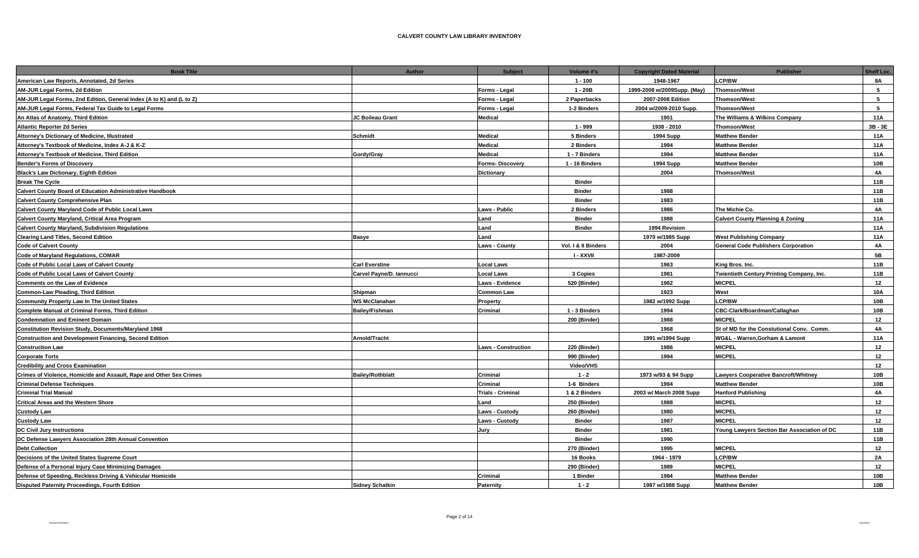| <b>Book Title</b>                                                    | <b>Author</b>            | <b>Subject</b>             | Volume #'s          | <b>Copyright Dated Material</b> | <b>Publisher</b>                            | Shelf Loc. |
|----------------------------------------------------------------------|--------------------------|----------------------------|---------------------|---------------------------------|---------------------------------------------|------------|
| American Law Reports, Annotated, 2d Series                           |                          |                            | $1 - 100$           | 1948-1967                       | <b>LCP/BW</b>                               | 8A         |
| AM-JUR Legal Forms, 2d Edition                                       |                          | Forms - Legal              | $1 - 20B$           | 1999-2008 w/2009Supp. (May)     | <b>Thomson/West</b>                         | 5          |
| AM-JUR Legal Forms, 2nd Edition, General Index (A to K) and (L to Z) |                          | Forms - Legal              | 2 Paperbacks        | 2007-2008 Edition               | <b>Thomson/West</b>                         | 5          |
| AM-JUR Legal Forms, Federal Tax Guide to Legal Forms                 |                          | Forms - Legal              | 1-2 Binders         | 2004 w/2009-2010 Supp.          | <b>Thomson/West</b>                         | 5          |
| An Atlas of Anatomy, Third Edition                                   | JC Boileau Grant         | <b>Medical</b>             |                     | 1951                            | The Williams & Wilkins Company              | 11A        |
| <b>Atlantic Reporter 2d Series</b>                                   |                          |                            | 1 - 999             | 1938 - 2010                     | <b>Thomson/West</b>                         | 3B-3E      |
| Attorney's Dictionary of Medicine, Illustrated                       | Schmidt                  | <b>Medical</b>             | 5 Binders           | <b>1994 Supp</b>                | <b>Matthew Bender</b>                       | <b>11A</b> |
| Attorney's Textbook of Medicine, Index A-J & K-Z                     |                          | <b>Medical</b>             | 2 Binders           | 1994                            | <b>Matthew Bender</b>                       | 11A        |
| Attorney's Textbook of Medicine, Third Edition                       | Gordy/Gray               | <b>Medical</b>             | 1 - 7 Binders       | 1994                            | <b>Matthew Bender</b>                       | 11A        |
| <b>Bender's Forms of Discovery</b>                                   |                          | Forms-Discovery            | 1 - 16 Binders      | <b>1994 Supp</b>                | <b>Matthew Bender</b>                       | 10B        |
| Black's Law Dictionary, Eighth Edition                               |                          | <b>Dictionary</b>          |                     | 2004                            | <b>Thomson/West</b>                         | <b>4A</b>  |
| <b>Break The Cycle</b>                                               |                          |                            | <b>Binder</b>       |                                 |                                             | 11B        |
| Calvert County Board of Education Administrative Handbook            |                          |                            | <b>Binder</b>       | 1988                            |                                             | 11B        |
| <b>Calvert County Comprehensive Plan</b>                             |                          |                            | <b>Binder</b>       | 1983                            |                                             | 11B        |
| Calvert County Maryland Code of Public Local Laws                    |                          | <b>Laws - Public</b>       | 2 Binders           | 1986                            | The Michie Co.                              | 4A         |
| <b>Calvert County Maryland, Critical Area Program</b>                |                          | Land                       | <b>Binder</b>       | 1988                            | <b>Calvert County Planning &amp; Zoning</b> | 11A        |
| <b>Calvert County Maryland, Subdivision Regulations</b>              |                          | Land                       | <b>Binder</b>       | 1994 Revision                   |                                             | 11A        |
| <b>Clearing Land Titles, Second Edition</b>                          | <b>Basye</b>             | Land                       |                     | 1970 w/1985 Supp                | <b>West Publishing Company</b>              | 11A        |
| <b>Code of Calvert County</b>                                        |                          | <b>Laws - County</b>       | Vol. I & II Binders | 2004                            | <b>General Code Publishers Corporation</b>  | 4A         |
| Code of Maryland Regulations, COMAR                                  |                          |                            | <b>I-XXVII</b>      | 1987-2009                       |                                             | 5B         |
| Code of Public Local Laws of Calvert County                          | <b>Carl Everstine</b>    | <b>Local Laws</b>          |                     | 1963                            | King Bros. Inc.                             | 11B        |
| Code of Public Local Laws of Calvert County                          | Carvel Payne/D. Iannucci | <b>Local Laws</b>          | 3 Copies            | 1981                            | Twientieth Century Printing Company, Inc.   | 11B        |
| <b>Comments on the Law of Evidence</b>                               |                          | <b>Laws - Evidence</b>     | 520 (Binder)        | 1982                            | <b>MICPEL</b>                               | 12         |
| <b>Common-Law Pleading, Third Edition</b>                            | Shipman                  | <b>Common Law</b>          |                     | 1923                            | West                                        | 10A        |
| <b>Community Property Law In The United States</b>                   | <b>WS McClanahan</b>     | Property                   |                     | 1982 w/1992 Supp                | <b>LCP/BW</b>                               | 10B        |
| <b>Complete Manual of Criminal Forms, Third Edition</b>              | <b>Bailey/Fishman</b>    | Criminal                   | 1 - 3 Binders       | 1994                            | CBC-Clark/Boardman/Callaghan                | 10B        |
| <b>Condemnation and Eminent Domain</b>                               |                          |                            | 200 (Binder)        | 1988                            | <b>MICPEL</b>                               | 12         |
| Constitution Revision Study, Documents/Maryland 1968                 |                          |                            |                     | 1968                            | St of MD for the Constutional Conv. Comm.   | <b>4A</b>  |
| <b>Construction and Development Financing, Second Edition</b>        | Arnold/Tracht            |                            |                     | 1991 w/1994 Supp                | WG&L - Warren, Gorham & Lamont              | <b>11A</b> |
| <b>Construction Law</b>                                              |                          | <b>Laws - Construction</b> | 220 (Binder)        | 1986                            | <b>MICPEL</b>                               | 12         |
| <b>Corporate Torts</b>                                               |                          |                            | 990 (Binder)        | 1994                            | <b>MICPEL</b>                               | 12         |
| <b>Credibility and Cross Examination</b>                             |                          |                            | Video/VHS           |                                 |                                             | 12         |
| Crimes of Violence, Homicide and Assault, Rape and Other Sex Crimes  | <b>Bailey/Rothblatt</b>  | Criminal                   | $1 - 2$             | 1973 w/93 & 94 Supp             | <b>Lawyers Cooperative Bancroft/Whitney</b> | 10B        |
| <b>Criminal Defense Techniques</b>                                   |                          | <b>Criminal</b>            | 1-6 Binders         | 1994                            | <b>Matthew Bender</b>                       | 10B        |
| <b>Criminal Trial Manual</b>                                         |                          | <b>Trials - Criminal</b>   | 1 & 2 Binders       | 2003 w/ March 2008 Supp         | <b>Hanford Publishing</b>                   | 4A         |
| <b>Critical Areas and the Western Shore</b>                          |                          | Land                       | 250 (Binder)        | 1988                            | <b>MICPEL</b>                               | 12         |
| <b>Custody Law</b>                                                   |                          | <b>Laws - Custody</b>      | 260 (Binder)        | 1980                            | <b>MICPEL</b>                               | 12         |
| <b>Custody Law</b>                                                   |                          | Laws - Custody             | <b>Binder</b>       | 1987                            | <b>MICPEL</b>                               | 12         |
| <b>DC Civil Jury Instructions</b>                                    |                          | Jury                       | <b>Binder</b>       | 1981                            | Young Lawyers Section Bar Association of DC | 11B        |
| DC Defense Lawyers Association 28th Annual Convention                |                          |                            | <b>Binder</b>       | 1990                            |                                             | 11B        |
| <b>Debt Collection</b>                                               |                          |                            | 270 (Binder)        | 1995                            | <b>MICPEL</b>                               | 12         |
| Decisions of the United States Supreme Court                         |                          |                            | 16 Books            | 1964 - 1979                     | <b>LCP/BW</b>                               | 2A         |
| Defense of a Personal Injury Case Minimizing Damages                 |                          |                            | 290 (Binder)        | 1989                            | <b>MICPEL</b>                               | 12         |
| Defense of Speeding, Reckless Driving & Vehicular Homicide           |                          | Criminal                   | 1 Binder            | 1984                            | <b>Matthew Bender</b>                       | 10B        |
| <b>Disputed Paternity Proceedings, Fourth Edition</b>                | <b>Sidney Schatkin</b>   | Paternity                  | $1 - 2$             | 1987 w/1988 Supp                | <b>Matthew Bender</b>                       | 10B        |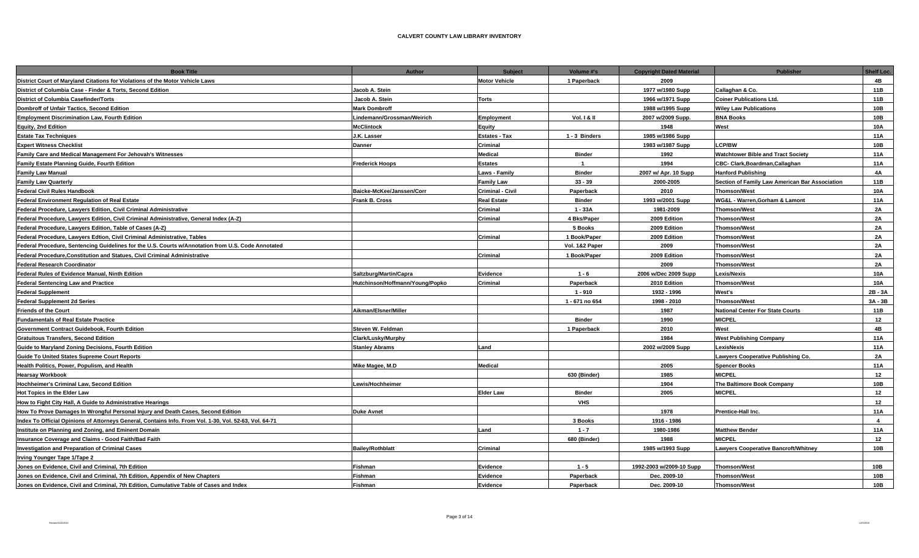| <b>Book Title</b>                                                                                      | Author                          | <b>Subject</b>          | Volume #'s             | <b>Copyright Dated Material</b> | <b>Publisher</b>                               | <b>Shelf Loc.</b> |
|--------------------------------------------------------------------------------------------------------|---------------------------------|-------------------------|------------------------|---------------------------------|------------------------------------------------|-------------------|
| District Court of Maryland Citations for Violations of the Motor Vehicle Laws                          |                                 | <b>Motor Vehicle</b>    | 1 Paperback            | 2009                            |                                                | 4B                |
| District of Columbia Case - Finder & Torts, Second Edition                                             | Jacob A. Stein                  |                         |                        | 1977 w/1980 Supp                | Callaghan & Co.                                | 11B               |
| <b>District of Columbia Casefinder/Torts</b>                                                           | Jacob A. Stein                  | Torts                   |                        | 1966 w/1971 Supp                | <b>Coiner Publications Ltd</b>                 | 11B               |
| <b>Dombroff of Unfair Tactics, Second Edition</b>                                                      | <b>Mark Dombroff</b>            |                         |                        | 1988 w/1995 Supp                | <b>Wiley Law Publications</b>                  | 10B               |
| <b>Employment Discrimination Law, Fourth Edition</b>                                                   | Lindemann/Grossman/Weirich      | Employment              | <b>Vol. 1 &amp; II</b> | 2007 w/2009 Supp.               | <b>BNA Books</b>                               | 10B               |
| <b>Equity, 2nd Edition</b>                                                                             | <b>McClintock</b>               | Equity                  |                        | 1948                            | West                                           | 10A               |
| <b>Estate Tax Techniques</b>                                                                           | J.K. Lasser                     | <b>Estates - Tax</b>    | 1 - 3 Binders          | 1985 w/1986 Supp                |                                                | 11A               |
| <b>Expert Witness Checklist</b>                                                                        | <b>Danner</b>                   | Criminal                |                        | 1983 w/1987 Supp                | <b>LCP/BW</b>                                  | 10B               |
| Family Care and Medical Management For Jehovah's Witnesses                                             |                                 | <b>Medical</b>          | <b>Binder</b>          | 1992                            | <b>Watchtower Bible and Tract Society</b>      | 11A               |
| Family Estate Planning Guide, Fourth Edition                                                           | <b>Frederick Hoops</b>          | <b>Estates</b>          | $\overline{1}$         | 1994                            | CBC- Clark, Boardman, Callaghan                | 11A               |
| <b>Family Law Manual</b>                                                                               |                                 | Laws - Family           | <b>Binder</b>          | 2007 w/ Apr. 10 Supp            | <b>Hanford Publishing</b>                      | <b>4A</b>         |
| <b>Family Law Quarterly</b>                                                                            |                                 | <b>Family Law</b>       | $33 - 39$              | 2000-2005                       | Section of Family Law American Bar Association | 11B               |
| <b>Federal Civil Rules Handbook</b>                                                                    | Baicke-McKee/Janssen/Corr       | <b>Criminal - Civil</b> | Paperback              | 2010                            | <b>Thomson/West</b>                            | <b>10A</b>        |
| <b>Federal Environment Regulation of Real Estate</b>                                                   | <b>Frank B. Cross</b>           | <b>Real Estate</b>      | <b>Binder</b>          | 1993 w/2001 Supp                | WG&L - Warren, Gorham & Lamont                 | 11A               |
| Federal Procedure, Lawyers Edition, Civil Criminal Administrative                                      |                                 | Criminal                | $1 - 33A$              | 1981-2009                       | <b>Thomson/West</b>                            | 2A                |
| Federal Procedure, Lawyers Edition, Civil Criminal Administrative, General Index (A-Z)                 |                                 | Criminal                | 4 Bks/Paper            | 2009 Edition                    | Thomson/West                                   | <b>2A</b>         |
| Federal Procedure, Lawyers Edition, Table of Cases (A-Z)                                               |                                 |                         | 5 Books                | 2009 Edition                    | <b>Thomson/West</b>                            | <b>2A</b>         |
| Federal Procedure, Lawyers Edtion, Civil Criminal Administrative, Tables                               |                                 | Criminal                | 1 Book/Paper           | 2009 Edition                    | <b>Thomson/West</b>                            | 2A                |
| Federal Procedure, Sentencing Guidelines for the U.S. Courts w/Annotation from U.S. Code Annotated     |                                 |                         | Vol. 1&2 Paper         | 2009                            | <b>Thomson/West</b>                            | <b>2A</b>         |
| Federal Procedure, Constitution and Statues, Civil Criminal Administrative                             |                                 | Criminal                | 1 Book/Paper           | 2009 Edition                    | Thomson/West                                   | 2A                |
| <b>Federal Research Coordinator</b>                                                                    |                                 |                         |                        | 2009                            | <b>Thomson/West</b>                            | 2A                |
| <b>Federal Rules of Evidence Manual, Ninth Edition</b>                                                 | Saltzburg/Martin/Capra          | Evidence                | $1 - 6$                | 2006 w/Dec 2009 Supp            | Lexis/Nexis                                    | <b>10A</b>        |
| <b>Federal Sentencing Law and Practice</b>                                                             | Hutchinson/Hoffmann/Young/Popko | Criminal                | Paperback              | 2010 Edition                    | <b>Thomson/West</b>                            | 10A               |
| <b>Federal Supplement</b>                                                                              |                                 |                         | $1 - 910$              | 1932 - 1996                     | West's                                         | 2B-3A             |
| <b>Federal Supplement 2d Series</b>                                                                    |                                 |                         | 1 - 671 no 654         | 1998 - 2010                     | <b>Thomson/West</b>                            | 3A - 3B           |
| <b>Friends of the Court</b>                                                                            | Aikman/Elsner/Miller            |                         |                        | 1987                            | National Center For State Courts               | 11B               |
| <b>Fundamentals of Real Estate Practice</b>                                                            |                                 |                         | <b>Binder</b>          | 1990                            | MICPEL                                         | 12                |
| <b>Government Contract Guidebook, Fourth Edition</b>                                                   | Steven W. Feldman               |                         | 1 Paperback            | 2010                            | West                                           | 4B                |
| <b>Gratuitous Transfers, Second Edition</b>                                                            | Clark/Lusky/Murphy              |                         |                        | 1984                            | <b>West Publishing Company</b>                 | 11A               |
| Guide to Maryland Zoning Decisions, Fourth Edition                                                     | <b>Stanley Abrams</b>           | Land                    |                        | 2002 w/2009 Supp                | LexisNexis                                     | 11A               |
| <b>Guide To United States Supreme Court Reports</b>                                                    |                                 |                         |                        |                                 | Lawyers Cooperative Publishing Co.             | 2A                |
| Health Politics, Power, Populism, and Health                                                           | Mike Magee, M.D                 | <b>Medical</b>          |                        | 2005                            | <b>Spencer Books</b>                           | 11A               |
| <b>Hearsay Workbook</b>                                                                                |                                 |                         | 630 (Binder)           | 1985                            | <b>MICPEL</b>                                  | 12                |
| Hochheimer's Criminal Law, Second Edition                                                              | Lewis/Hochheimer                |                         |                        | 1904                            | The Baltimore Book Company                     | 10B               |
| Hot Topics in the Elder Law                                                                            |                                 | <b>Elder Law</b>        | <b>Binder</b>          | 2005                            | <b>MICPEL</b>                                  | 12                |
| How to Fight City Hall, A Guide to Administrative Hearings                                             |                                 |                         | <b>VHS</b>             |                                 |                                                | 12                |
| How To Prove Damages In Wrongful Personal Injury and Death Cases, Second Edition                       | <b>Duke Avnet</b>               |                         |                        | 1978                            | <b>Prentice-Hall Inc.</b>                      | 11A               |
| Index To Official Opinions of Attorneys General, Contains Info. From Vol. 1-30, Vol. 52-63, Vol. 64-71 |                                 |                         | 3 Books                | 1916 - 1986                     |                                                | $\overline{4}$    |
| Institute on Planning and Zoning, and Eminent Domain                                                   |                                 | Land                    | $1 - 7$                | 1980-1986                       | <b>Matthew Bender</b>                          | 11A               |
| Insurance Coverage and Claims - Good Faith/Bad Faith                                                   |                                 |                         | 680 (Binder)           | 1988                            | MICPEL                                         | 12                |
| <b>Investigation and Preparation of Criminal Cases</b>                                                 | <b>Bailey/Rothblatt</b>         | Criminal                |                        | 1985 w/1993 Supp                | Lawyers Cooperative Bancroft/Whitney           | 10B               |
| Irving Younger Tape 1/Tape 2                                                                           |                                 |                         |                        |                                 |                                                |                   |
| Jones on Evidence, Civil and Criminal, 7th Edition                                                     | Fishman                         | Evidence                | $1 - 5$                | 1992-2003 w/2009-10 Supp        | <b>Thomson/West</b>                            | 10B               |
| Jones on Evidence, Civil and Criminal, 7th Edition, Appendix of New Chapters                           | <b>Fishman</b>                  | Evidence                | Paperback              | Dec. 2009-10                    | <b>Thomson/West</b>                            | 10B               |
| Jones on Evidence, Civil and Criminal, 7th Edition, Cumulative Table of Cases and Index                | Fishman                         | Evidence                | Paperback              | Dec. 2009-10                    | <b>Thomson/West</b>                            | 10B               |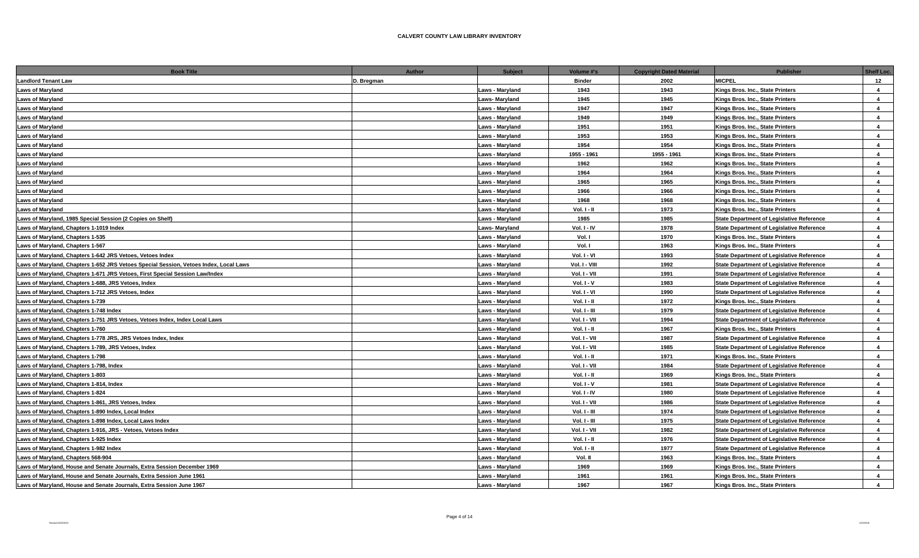| <b>Book Title</b>                                                                     | <b>Author</b> | <b>Subject</b>         | Volume #'s     | <b>Copyright Dated Material</b> | <b>Publisher</b>                                 | Shelf Loc.              |
|---------------------------------------------------------------------------------------|---------------|------------------------|----------------|---------------------------------|--------------------------------------------------|-------------------------|
| <b>Landlord Tenant Law</b>                                                            | D. Bregman    |                        | <b>Binder</b>  | 2002                            | <b>MICPEL</b>                                    | 12                      |
| <b>Laws of Maryland</b>                                                               |               | <b>Laws - Maryland</b> | 1943           | 1943                            | Kings Bros. Inc., State Printers                 | $\overline{4}$          |
| <b>Laws of Maryland</b>                                                               |               | <b>Laws-Maryland</b>   | 1945           | 1945                            | Kings Bros. Inc., State Printers                 | $\overline{\mathbf{4}}$ |
| <b>Laws of Maryland</b>                                                               |               | <b>Laws - Maryland</b> | 1947           | 1947                            | Kings Bros. Inc., State Printers                 | $\overline{a}$          |
| <b>Laws of Maryland</b>                                                               |               | Laws - Maryland        | 1949           | 1949                            | Kings Bros. Inc., State Printers                 | $\overline{4}$          |
| <b>Laws of Maryland</b>                                                               |               | Laws - Maryland        | 1951           | 1951                            | Kings Bros. Inc., State Printers                 | $\overline{4}$          |
| <b>Laws of Maryland</b>                                                               |               | Laws - Maryland        | 1953           | 1953                            | Kings Bros. Inc., State Printers                 | $\overline{\mathbf{4}}$ |
| <b>Laws of Maryland</b>                                                               |               | Laws - Maryland        | 1954           | 1954                            | Kings Bros, Inc., State Printers                 | $\overline{a}$          |
| <b>Laws of Maryland</b>                                                               |               | <b>Laws - Maryland</b> | 1955 - 1961    | 1955 - 1961                     | Kings Bros. Inc., State Printers                 | $\overline{4}$          |
| <b>Laws of Maryland</b>                                                               |               | Laws - Maryland        | 1962           | 1962                            | Kings Bros. Inc., State Printers                 | $\overline{\mathbf{4}}$ |
| <b>Laws of Maryland</b>                                                               |               | <b>Laws - Maryland</b> | 1964           | 1964                            | Kings Bros. Inc., State Printers                 | $\overline{\mathbf{4}}$ |
| <b>Laws of Maryland</b>                                                               |               | <b>Laws - Maryland</b> | 1965           | 1965                            | Kings Bros. Inc., State Printers                 | $\overline{\mathbf{4}}$ |
| <b>Laws of Maryland</b>                                                               |               | Laws - Maryland        | 1966           | 1966                            | Kings Bros. Inc., State Printers                 | $\overline{a}$          |
| <b>Laws of Maryland</b>                                                               |               | Laws - Maryland        | 1968           | 1968                            | Kings Bros. Inc., State Printers                 | $\overline{4}$          |
| <b>Laws of Maryland</b>                                                               |               | Laws - Maryland        | Vol. I - II    | 1973                            | Kings Bros. Inc., State Printers                 | $\overline{\mathbf{4}}$ |
| Laws of Maryland, 1985 Special Session (2 Copies on Shelf)                            |               | Laws - Maryland        | 1985           | 1985                            | <b>State Department of Legislative Reference</b> | $\overline{\mathbf{4}}$ |
| Laws of Maryland, Chapters 1-1019 Index                                               |               | <b>Laws-Maryland</b>   | Vol. I - IV    | 1978                            | <b>State Department of Legislative Reference</b> | $\overline{\mathbf{4}}$ |
| Laws of Maryland, Chapters 1-535                                                      |               | <b>Laws - Maryland</b> | Vol. I         | 1970                            | Kings Bros. Inc., State Printers                 | $\overline{a}$          |
| Laws of Maryland, Chapters 1-567                                                      |               | Laws - Maryland        | Vol. I         | 1963                            | Kings Bros. Inc., State Printers                 | $\overline{\mathbf{4}}$ |
| Laws of Maryland, Chapters 1-642 JRS Vetoes, Vetoes Index                             |               | <b>Laws - Maryland</b> | Vol. I - VI    | 1993                            | <b>State Department of Legislative Reference</b> | $\overline{4}$          |
| Laws of Maryland, Chapters 1-652 JRS Vetoes Special Session, Vetoes Index, Local Laws |               | Laws - Maryland        | Vol. I - VIII  | 1992                            | <b>State Department of Legislative Reference</b> | $\overline{4}$          |
| Laws of Maryland, Chapters 1-671 JRS Vetoes, First Special Session Law/Index          |               | Laws - Maryland        | Vol. I - VII   | 1991                            | <b>State Department of Legislative Reference</b> | $\overline{4}$          |
| Laws of Maryland, Chapters 1-688, JRS Vetoes, Index                                   |               | Laws - Maryland        | $Vol. I - V$   | 1983                            | <b>State Department of Legislative Reference</b> | $\overline{4}$          |
| Laws of Maryland, Chapters 1-712 JRS Vetoes, Index                                    |               | Laws - Maryland        | Vol. I - VI    | 1990                            | <b>State Department of Legislative Reference</b> | $\overline{\mathbf{4}}$ |
| Laws of Maryland, Chapters 1-739                                                      |               | Laws - Maryland        | Vol. I - II    | 1972                            | Kings Bros. Inc., State Printers                 | $\overline{4}$          |
| Laws of Maryland, Chapters 1-748 Index                                                |               | Laws - Maryland        | $Vol. I - III$ | 1979                            | <b>State Department of Legislative Reference</b> | $\overline{a}$          |
| Laws of Maryland, Chapters 1-751 JRS Vetoes, Vetoes Index, Index Local Laws           |               | <b>Laws - Maryland</b> | Vol. I - VII   | 1994                            | <b>State Department of Legislative Reference</b> | $\overline{\mathbf{4}}$ |
| Laws of Maryland, Chapters 1-760                                                      |               | <b>Laws - Maryland</b> | $Vol. 1 - II$  | 1967                            | Kings Bros. Inc., State Printers                 | $\overline{4}$          |
| Laws of Maryland, Chapters 1-778 JRS, JRS Vetoes Index, Index                         |               | <b>Laws - Maryland</b> | Vol. I - VII   | 1987                            | <b>State Department of Legislative Reference</b> | $\boldsymbol{\Delta}$   |
| Laws of Maryland, Chapters 1-789, JRS Vetoes, Index                                   |               | Laws - Maryland        | Vol. I - VII   | 1985                            | <b>State Department of Legislative Reference</b> | $\overline{\mathbf{4}}$ |
| Laws of Maryland, Chapters 1-798                                                      |               | Laws - Maryland        | Vol. I - II    | 1971                            | Kings Bros. Inc., State Printers                 | $\overline{\mathbf{4}}$ |
| Laws of Maryland, Chapters 1-798, Index                                               |               | Laws - Maryland        | Vol. I - VII   | 1984                            | <b>State Department of Legislative Reference</b> | $\overline{4}$          |
| Laws of Maryland, Chapters 1-803                                                      |               | Laws - Maryland        | $Vol. 1 - II$  | 1969                            | Kings Bros. Inc., State Printers                 | $\overline{4}$          |
| Laws of Maryland, Chapters 1-814, Index                                               |               | Laws - Maryland        | Vol. I - V     | 1981                            | <b>State Department of Legislative Reference</b> | $\overline{4}$          |
| Laws of Maryland, Chapters 1-824                                                      |               | Laws - Maryland        | $Vol. I - IV$  | 1980                            | <b>State Department of Legislative Reference</b> | $\overline{4}$          |
| Laws of Maryland, Chapters 1-861, JRS Vetoes, Index                                   |               | <b>Laws - Maryland</b> | Vol. I - VII   | 1986                            | <b>State Department of Legislative Reference</b> | $\overline{4}$          |
| Laws of Maryland, Chapters 1-890 Index, Local Index                                   |               | <b>Laws - Maryland</b> | $Vol. I - III$ | 1974                            | <b>State Department of Legislative Reference</b> | $\boldsymbol{\Delta}$   |
| Laws of Maryland, Chapters 1-898 Index, Local Laws Index                              |               | Laws - Maryland        | $Vol. I - III$ | 1975                            | <b>State Department of Legislative Reference</b> | $\overline{\mathbf{4}}$ |
| Laws of Maryland, Chapters 1-916, JRS - Vetoes, Vetoes Index                          |               | Laws - Maryland        | Vol. I - VII   | 1982                            | <b>State Department of Legislative Reference</b> | $\overline{\mathbf{4}}$ |
| Laws of Maryland, Chapters 1-925 Index                                                |               | Laws - Maryland        | Vol. I - II    | 1976                            | State Department of Legislative Reference        | $\overline{\mathbf{4}}$ |
| Laws of Maryland, Chapters 1-982 Index                                                |               | Laws - Maryland        | $Vol. 1 - II$  | 1977                            | <b>State Department of Legislative Reference</b> | $\overline{4}$          |
| Laws of Maryland, Chapters 568-904                                                    |               | Laws - Maryland        | Vol. II        | 1963                            | Kings Bros. Inc., State Printers                 | $\overline{4}$          |
| Laws of Maryland, House and Senate Journals, Extra Session December 1969              |               | Laws - Maryland        | 1969           | 1969                            | Kings Bros. Inc., State Printers                 | $\overline{4}$          |
| Laws of Marvland. House and Senate Journals. Extra Session June 1961                  |               | Laws - Marvland        | 1961           | 1961                            | Kings Bros, Inc., State Printers                 | $\overline{a}$          |
| Laws of Maryland, House and Senate Journals, Extra Session June 1967                  |               | <b>Laws - Marvland</b> | 1967           | 1967                            | Kings Bros, Inc., State Printers                 | $\mathbf{A}$            |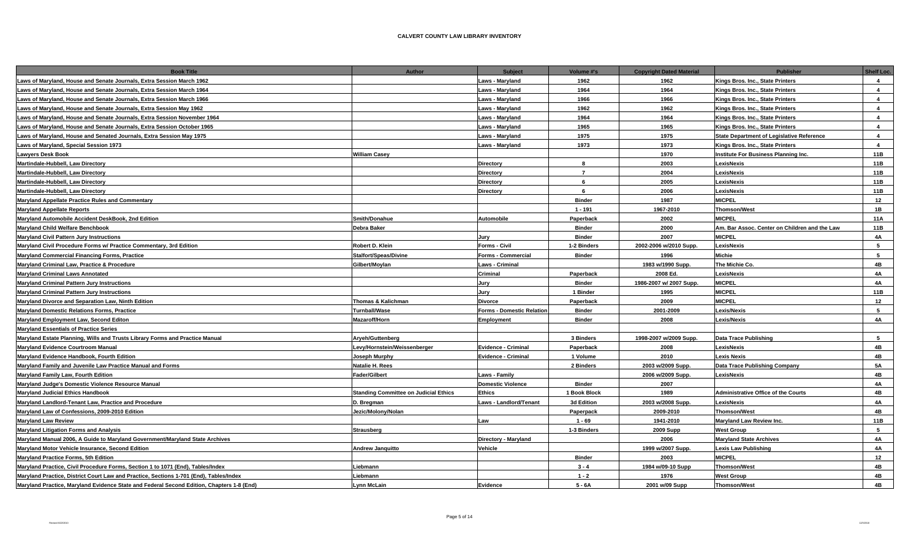| <b>Book Title</b>                                                                         | <b>Author</b>                                | <b>Subject</b>                   | Volume #'s     | <b>Copyright Dated Material</b> | <b>Publisher</b>                                 | <b>Shelf Loc.</b>       |
|-------------------------------------------------------------------------------------------|----------------------------------------------|----------------------------------|----------------|---------------------------------|--------------------------------------------------|-------------------------|
| Laws of Maryland, House and Senate Journals, Extra Session March 1962                     |                                              | Laws - Maryland                  | 1962           | 1962                            | Kings Bros. Inc., State Printers                 | $\overline{4}$          |
| Laws of Maryland, House and Senate Journals, Extra Session March 1964                     |                                              | Laws - Maryland                  | 1964           | 1964                            | Kings Bros. Inc., State Printers                 | $\overline{4}$          |
| Laws of Maryland, House and Senate Journals, Extra Session March 1966                     |                                              | Laws - Maryland                  | 1966           | 1966                            | Kings Bros. Inc., State Printers                 | $\overline{a}$          |
| Laws of Maryland, House and Senate Journals, Extra Session May 1962                       |                                              | Laws - Maryland                  | 1962           | 1962                            | Kings Bros. Inc., State Printers                 | $\overline{a}$          |
| Laws of Maryland, House and Senate Journals, Extra Session November 1964                  |                                              | Laws - Maryland                  | 1964           | 1964                            | Kings Bros. Inc., State Printers                 | $\mathbf{A}$            |
| Laws of Maryland, House and Senate Journals, Extra Session October 1965                   |                                              | Laws - Maryland                  | 1965           | 1965                            | Kings Bros. Inc., State Printers                 | $\overline{a}$          |
| Laws of Maryland, House and Senated Journals, Extra Session May 1975                      |                                              | Laws - Maryland                  | 1975           | 1975                            | <b>State Department of Legislative Reference</b> | $\overline{a}$          |
| Laws of Maryland, Special Session 1973                                                    |                                              | Laws - Maryland                  | 1973           | 1973                            | Kings Bros. Inc., State Printers                 | $\overline{\mathbf{4}}$ |
| Lawyers Desk Book                                                                         | <b>William Casey</b>                         |                                  |                | 1970                            | Institute For Business Planning Inc.             | 11B                     |
| Martindale-Hubbell, Law Directory                                                         |                                              | <b>Directory</b>                 | 8              | 2003                            | LexisNexis                                       | 11B                     |
| Martindale-Hubbell, Law Directory                                                         |                                              | <b>Directory</b>                 | $\overline{7}$ | 2004                            | LexisNexis                                       | 11B                     |
| Martindale-Hubbell, Law Directory                                                         |                                              | <b>Directory</b>                 | 6              | 2005                            | LexisNexis                                       | 11B                     |
| Martindale-Hubbell, Law Directory                                                         |                                              | <b>Directory</b>                 | 6              | 2006                            | LexisNexis                                       | 11B                     |
| <b>Maryland Appellate Practice Rules and Commentary</b>                                   |                                              |                                  | <b>Binder</b>  | 1987                            | <b>MICPEL</b>                                    | 12                      |
| <b>Maryland Appellate Reports</b>                                                         |                                              |                                  | $1 - 191$      | 1967-2010                       | <b>Thomson/West</b>                              | 1B                      |
| Maryland Automobile Accident DeskBook, 2nd Edition                                        | Smith/Donahue                                | <b>Automobile</b>                | Paperback      | 2002                            | <b>MICPEL</b>                                    | 11A                     |
| Maryland Child Welfare Benchbook                                                          | Debra Baker                                  |                                  | <b>Binder</b>  | 2000                            | Am. Bar Assoc. Center on Children and the Law    | 11B                     |
| Maryland Civil Pattern Jury Instructions                                                  |                                              | Jury                             | <b>Binder</b>  | 2007                            | <b>MICPEL</b>                                    | 4A                      |
| Maryland Civil Procedure Forms w/ Practice Commentary, 3rd Edition                        | Robert D. Klein                              | Forms - Civil                    | 1-2 Binders    | 2002-2006 w/2010 Supp.          | LexisNexis                                       | -5                      |
| Maryland Commercial Financing Forms, Practice                                             | Stalfort/Speas/Divine                        | <b>Forms - Commercial</b>        | <b>Binder</b>  | 1996                            | <b>Michie</b>                                    | -5                      |
| Maryland Criminal Law, Practice & Procedure                                               | Gilbert/Moylan                               | Laws - Criminal                  |                | 1983 w/1990 Supp.               | The Michie Co.                                   | 4B                      |
| Maryland Criminal Laws Annotated                                                          |                                              | <b>Criminal</b>                  | Paperback      | 2008 Ed.                        | LexisNexis                                       | 4A                      |
| Maryland Criminal Pattern Jury Instructions                                               |                                              | Jury                             | <b>Binder</b>  | 1986-2007 w/ 2007 Supp.         | <b>MICPEL</b>                                    | 4A                      |
| <b>Maryland Criminal Pattern Jury Instructions</b>                                        |                                              | Jury                             | 1 Binder       | 1995                            | <b>MICPEL</b>                                    | 11B                     |
| Maryland Divorce and Separation Law, Ninth Edition                                        | <b>Thomas &amp; Kalichman</b>                | <b>Divorce</b>                   | Paperback      | 2009                            | <b>MICPEL</b>                                    | 12                      |
| <b>Maryland Domestic Relations Forms, Practice</b>                                        | <b>Turnball/Wase</b>                         | <b>Forms - Domestic Relation</b> | <b>Binder</b>  | 2001-2009                       | <b>Lexis/Nexis</b>                               | -5                      |
| Maryland Employment Law, Second Editon                                                    | Mazaroff/Horn                                | <b>Employment</b>                | <b>Binder</b>  | 2008                            | Lexis/Nexis                                      | 4A                      |
| <b>Maryland Essentials of Practice Series</b>                                             |                                              |                                  |                |                                 |                                                  |                         |
| Maryland Estate Planning, Wills and Trusts Library Forms and Practice Manual              | Aryeh/Guttenberg                             |                                  | 3 Binders      | 1998-2007 w/2009 Supp.          | <b>Data Trace Publishing</b>                     | 5                       |
| Maryland Evidence Courtroom Manual                                                        | Levy/Hornstein/Weissenberger                 | <b>Evidence - Criminal</b>       | Paperback      | 2008                            | LexisNexis                                       | 4B                      |
| Maryland Evidence Handbook, Fourth Edition                                                | Joseph Murphy                                | <b>Evidence - Criminal</b>       | 1 Volume       | 2010                            | Lexis Nexis                                      | 4B                      |
| Maryland Family and Juvenile Law Practice Manual and Forms                                | Natalie H. Rees                              |                                  | 2 Binders      | 2003 w/2009 Supp.               | Data Trace Publishing Company                    | 5A                      |
| Maryland Family Law, Fourth Edition                                                       | <b>Fader/Gilbert</b>                         | Laws - Family                    |                | 2006 w/2009 Supp.               | LexisNexis                                       | 4B                      |
| Maryland Judge's Domestic Violence Resource Manual                                        |                                              | <b>Domestic Violence</b>         | <b>Binder</b>  | 2007                            |                                                  | 4A                      |
| Maryland Judicial Ethics Handbook                                                         | <b>Standing Committee on Judicial Ethics</b> | <b>Ethics</b>                    | 1 Book Block   | 1989                            | <b>Administrative Office of the Courts</b>       | 4B                      |
| Maryland Landlord-Tenant Law, Practice and Procedure                                      | D. Bregman                                   | <b>Laws - Landlord/Tenant</b>    | 3d Edition     | 2003 w/2008 Supp.               | LexisNexis                                       | 4A                      |
| Maryland Law of Confessions, 2009-2010 Edition                                            | Jezic/Molony/Nolan                           |                                  | Paperpack      | 2009-2010                       | <b>Thomson/West</b>                              | 4B                      |
| <b>Maryland Law Review</b>                                                                |                                              | Law                              | $1 - 69$       | 1941-2010                       | Maryland Law Review Inc.                         | 11B                     |
| <b>Maryland Litigation Forms and Analysis</b>                                             | Strausberg                                   |                                  | 1-3 Binders    | <b>2009 Supp</b>                | <b>West Group</b>                                | 5                       |
| Maryland Manual 2006, A Guide to Maryland Government/Maryland State Archives              |                                              | Directory - Maryland             |                | 2006                            | <b>Maryland State Archives</b>                   | 4A                      |
| Maryland Motor Vehicle Insurance, Second Edition                                          | <b>Andrew Janquitto</b>                      | Vehicle                          |                | 1999 w/2007 Supp.               | Lexis Law Publishing                             | 4A                      |
| Maryland Practice Forms, 5th Edition                                                      |                                              |                                  | <b>Binder</b>  | 2003                            | <b>MICPEL</b>                                    | 12                      |
| Maryland Practice, Civil Procedure Forms, Section 1 to 1071 (End), Tables/Index           | Liebmann                                     |                                  | $3 - 4$        | 1984 w/09-10 Supp               | <b>Thomson/West</b>                              | 4B                      |
| Maryland Practice, District Court Law and Practice, Sections 1-701 (End), Tables/Index    | Liebmann                                     |                                  | $1 - 2$        | 1976                            | <b>West Group</b>                                | 4B                      |
| Maryland Practice, Maryland Evidence State and Federal Second Edition, Chapters 1-8 (End) | <b>Lynn McLair</b>                           | Evidence                         | $5 - 6A$       | 2001 w/09 Supp                  | <b>Thomson/West</b>                              | 4B                      |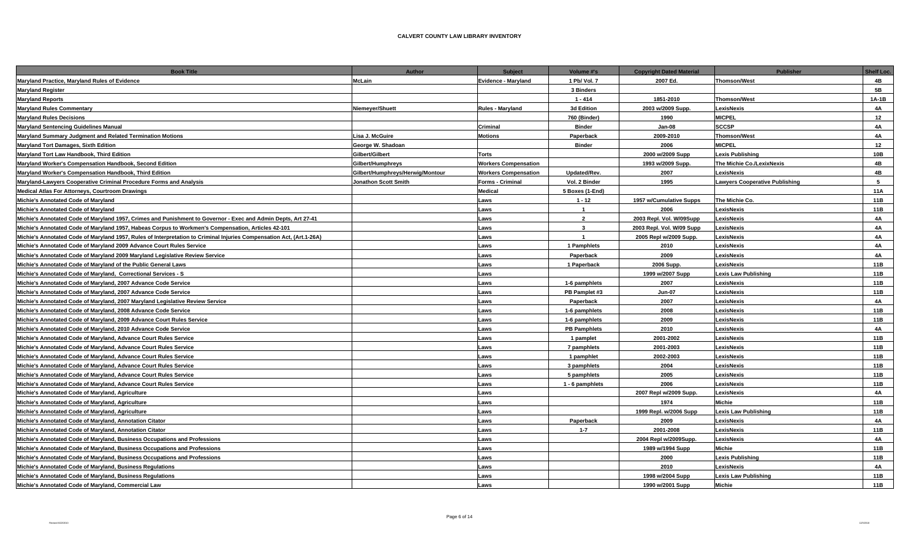| <b>Book Title</b>                                                                                                    | Author                           | <b>Subject</b>              | Volume #'s              | <b>Copyright Dated Material</b> | <b>Publisher</b>               | Shelf Loc. |
|----------------------------------------------------------------------------------------------------------------------|----------------------------------|-----------------------------|-------------------------|---------------------------------|--------------------------------|------------|
| Maryland Practice, Maryland Rules of Evidence                                                                        | <b>McLain</b>                    | Evidence - Maryland         | 1 Pb/ Vol. 7            | 2007 Ed.                        | <b>Thomson/West</b>            | 4B         |
| <b>Maryland Register</b>                                                                                             |                                  |                             | 3 Binders               |                                 |                                | 5B         |
| <b>Maryland Reports</b>                                                                                              |                                  |                             | $1 - 414$               | 1851-2010                       | <b>Thomson/West</b>            | $1A-1B$    |
| <b>Maryland Rules Commentary</b>                                                                                     | Niemeyer/Shuett                  | <b>Rules - Maryland</b>     | 3d Edition              | 2003 w/2009 Supp.               | LexisNexis                     | <b>4A</b>  |
| <b>Maryland Rules Decisions</b>                                                                                      |                                  |                             | 760 (Binder)            | 1990                            | <b>MICPEL</b>                  | 12         |
| <b>Maryland Sentencing Guidelines Manual</b>                                                                         |                                  | Criminal                    | <b>Binder</b>           | Jan-08                          | <b>SCCSP</b>                   | 4A         |
| Maryland Summary Judgment and Related Termination Motions                                                            | Lisa J. McGuire                  | <b>Motions</b>              | Paperback               | 2009-2010                       | <b>Thomson/West</b>            | 4A         |
| Maryland Tort Damages, Sixth Edition                                                                                 | George W. Shadoan                |                             | <b>Binder</b>           | 2006                            | <b>MICPEL</b>                  | 12         |
| Maryland Tort Law Handbook, Third Edition                                                                            | Gilbert/Gilbert                  | <b>Torts</b>                |                         | 2000 w/2009 Supp                | Lexis Publishing               | 10B        |
| Maryland Worker's Compensation Handbook, Second Edition                                                              | Gilbert/Humphreys                | <b>Workers Compensation</b> |                         | 1993 w/2009 Supp.               | The Michie Co./LexixNexis      | 4B         |
| Maryland Worker's Compensation Handbook, Third Edition                                                               | Gilbert/Humphreys/Herwig/Montour | <b>Workers Compensation</b> | Updated/Rev.            | 2007                            | LexisNexis                     | 4B         |
| Maryland-Lawyers Cooperative Criminal Procedure Forms and Analysis                                                   | Jonathon Scott Smith             | Forms - Criminal            | Vol. 2 Binder           | 1995                            | Lawyers Cooperative Publishing | 5          |
| Medical Atlas For Attorneys, Courtroom Drawings                                                                      |                                  | Medical                     | 5 Boxes (1-End)         |                                 |                                | 11A        |
| Michie's Annotated Code of Maryland                                                                                  |                                  | Laws                        | $1 - 12$                | 1957 w/Cumulative Supps         | The Michie Co.                 | 11B        |
| Michie's Annotated Code of Maryland                                                                                  |                                  | Laws                        | $\overline{1}$          | 2006                            | LexisNexis                     | 11B        |
| Michie's Annotated Code of Maryland 1957, Crimes and Punishment to Governor - Exec and Admin Depts, Art 27-41        |                                  | Laws                        | $\overline{2}$          | 2003 Repl. Vol. W/09Supp        | LexisNexis                     | 4A         |
| Michie's Annotated Code of Maryland 1957, Habeas Corpus to Workmen's Compensation, Articles 42-101                   |                                  | Laws                        | $\mathbf{3}$            | 2003 Repl. Vol. W/09 Supp       | LexisNexis                     | <b>4A</b>  |
| Michie's Annotated Code of Maryland 1957, Rules of Interpretation to Criminal Injuries Compensation Act, (Art.1-26A) |                                  | Laws                        | $\overline{\mathbf{1}}$ | 2005 Repl w/2009 Supp.          | LexisNexis                     | 4A         |
| Michie's Annotated Code of Maryland 2009 Advance Court Rules Service                                                 |                                  | Laws                        | 1 Pamphlets             | 2010                            | <b>LexisNexis</b>              | <b>4A</b>  |
| Michie's Annotated Code of Maryland 2009 Maryland Legislative Review Service                                         |                                  | Laws                        | Paperback               | 2009                            | LexisNexis                     | 4A         |
| Michie's Annotated Code of Maryland of the Public General Laws                                                       |                                  | Laws                        | 1 Paperback             | 2006 Supp.                      | LexisNexis                     | 11B        |
| Michie's Annotated Code of Maryland, Correctional Services - S                                                       |                                  | Laws                        |                         | 1999 w/2007 Supp                | <b>Lexis Law Publishing</b>    | 11B        |
| Michie's Annotated Code of Maryland, 2007 Advance Code Service                                                       |                                  | Laws                        | 1-6 pamphlets           | 2007                            | LexisNexis                     | 11B        |
| Michie's Annotated Code of Maryland, 2007 Advance Code Service                                                       |                                  | Laws                        | PB Pamplet #3           | <b>Jun-07</b>                   | LexisNexis                     | 11B        |
| Michie's Annotated Code of Maryland, 2007 Maryland Legislative Review Service                                        |                                  | Laws                        | Paperback               | 2007                            | LexisNexis                     | 4A         |
| Michie's Annotated Code of Maryland, 2008 Advance Code Service                                                       |                                  | Laws                        | 1-6 pamphlets           | 2008                            | LexisNexis                     | 11B        |
| Michie's Annotated Code of Maryland, 2009 Advance Court Rules Service                                                |                                  | Laws                        | 1-6 pamphlets           | 2009                            | LexisNexis                     | 11B        |
| Michie's Annotated Code of Maryland, 2010 Advance Code Service                                                       |                                  | Laws                        | <b>PB Pamphlets</b>     | 2010                            | LexisNexis                     | 4A         |
| Michie's Annotated Code of Maryland, Advance Court Rules Service                                                     |                                  | Laws                        | 1 pamplet               | 2001-2002                       | LexisNexis                     | 11B        |
| Michie's Annotated Code of Maryland, Advance Court Rules Service                                                     |                                  | Laws                        | 7 pamphlets             | 2001-2003                       | LexisNexis                     | 11B        |
| Michie's Annotated Code of Maryland, Advance Court Rules Service                                                     |                                  | Laws                        | 1 pamphlet              | 2002-2003                       | LexisNexis                     | 11B        |
| Michie's Annotated Code of Maryland, Advance Court Rules Service                                                     |                                  | Laws                        | 3 pamphlets             | 2004                            | LexisNexis                     | 11B        |
| Michie's Annotated Code of Maryland, Advance Court Rules Service                                                     |                                  | Laws                        | 5 pamphlets             | 2005                            | LexisNexis                     | 11B        |
| Michie's Annotated Code of Maryland, Advance Court Rules Service                                                     |                                  | Laws                        | 1 - 6 pamphlets         | 2006                            | LexisNexis                     | 11B        |
| Michie's Annotated Code of Maryland, Agriculture                                                                     |                                  | Laws                        |                         | 2007 Repl w/2009 Supp.          | LexisNexis                     | 4A         |
| Michie's Annotated Code of Maryland, Agriculture                                                                     |                                  | Laws                        |                         | 1974                            | Michie                         | 11B        |
| Michie's Annotated Code of Maryland, Agriculture                                                                     |                                  | Laws                        |                         | 1999 Repl. w/2006 Supp          | <b>Lexis Law Publishing</b>    | 11B        |
| Michie's Annotated Code of Maryland, Annotation Citator                                                              |                                  | Laws                        | Paperback               | 2009                            | LexisNexis                     | 4A         |
| Michie's Annotated Code of Maryland, Annotation Citator                                                              |                                  | Laws                        | $1 - 7$                 | 2001-2008                       | LexisNexis                     | 11B        |
| Michie's Annotated Code of Maryland, Business Occupations and Professions                                            |                                  | Laws                        |                         | 2004 Repl w/2009Supp.           | LexisNexis                     | 4A         |
| Michie's Annotated Code of Maryland, Business Occupations and Professions                                            |                                  | Laws                        |                         | 1989 w/1994 Supp                | Michie                         | 11B        |
| Michie's Annotated Code of Maryland, Business Occupations and Professions                                            |                                  | Laws                        |                         | 2000                            | <b>Lexis Publishing</b>        | 11B        |
| Michie's Annotated Code of Maryland, Business Regulations                                                            |                                  | Laws                        |                         | 2010                            | <b>LexisNexis</b>              | <b>4A</b>  |
| Michie's Annotated Code of Maryland, Business Regulations                                                            |                                  | <b>Laws</b>                 |                         | 1998 w/2004 Supp                | Lexis Law Publishing           | 11B        |
| Michie's Annotated Code of Marvland, Commercial Law                                                                  |                                  | Laws                        |                         | 1990 w/2001 Supp                | <b>Michie</b>                  | 11B        |
|                                                                                                                      |                                  |                             |                         |                                 |                                |            |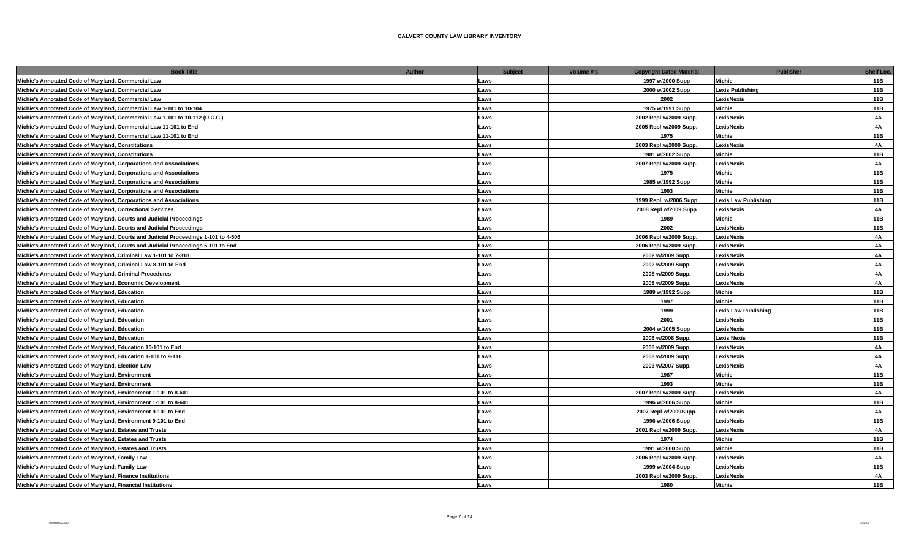| <b>Book Title</b>                                                                   | <b>Author</b> | <b>Subject</b> | Volume #'s | <b>Copyright Dated Material</b> | <b>Publisher</b>            | <b>Shelf Loc.</b> |
|-------------------------------------------------------------------------------------|---------------|----------------|------------|---------------------------------|-----------------------------|-------------------|
| Michie's Annotated Code of Maryland, Commercial Law                                 | Laws          |                |            | 1997 w/2000 Supp                | Michie                      | 11B               |
| Michie's Annotated Code of Maryland, Commercial Law                                 | Laws          |                |            | 2000 w/2002 Supp                | <b>Lexis Publishing</b>     | 11B               |
| Michie's Annotated Code of Maryland, Commercial Law                                 | Laws          |                |            | 2002                            | LexisNexis                  | 11B               |
| Michie's Annotated Code of Maryland, Commercial Law 1-101 to 10-104                 | Laws          |                |            | 1975 w/1991 Supp                | Michie                      | 11B               |
| Michie's Annotated Code of Maryland, Commercial Law 1-101 to 10-112 (U.C.C.)        | Laws          |                |            | 2002 Repl w/2009 Supp.          | LexisNexis                  | <b>4A</b>         |
| Michie's Annotated Code of Maryland, Commercial Law 11-101 to End                   | Laws          |                |            | 2005 Repl w/2009 Supp.          | LexisNexis                  | <b>4A</b>         |
| Michie's Annotated Code of Maryland, Commercial Law 11-101 to End                   | Laws          |                |            | 1975                            | Michie                      | 11B               |
| Michie's Annotated Code of Maryland, Constitutions                                  | Laws          |                |            | 2003 Repl w/2009 Supp.          | LexisNexis                  | 4A                |
| Michie's Annotated Code of Maryland, Constitutions                                  | Laws          |                |            | 1981 w/2002 Supp                | Michie                      | 11B               |
| Michie's Annotated Code of Maryland, Corporations and Associations                  | Laws          |                |            | 2007 Repl w/2009 Supp.          | LexisNexis                  | <b>4A</b>         |
| Michie's Annotated Code of Maryland, Corporations and Associations                  | Laws          |                |            | 1975                            | Michie                      | 11B               |
| Michie's Annotated Code of Maryland, Corporations and Associations                  | Laws          |                |            | 1985 w/1992 Supp                | Michie                      | 11B               |
| Michie's Annotated Code of Maryland, Corporations and Associations                  | Laws          |                |            | 1993                            | Michie                      | 11B               |
| Michie's Annotated Code of Maryland, Corporations and Associations                  | Laws          |                |            | 1999 Repl. w/2006 Supp          | <b>Lexis Law Publishing</b> | 11B               |
| Michie's Annotated Code of Maryland, Correctional Services                          | Laws          |                |            | 2008 Repl w/2009 Supp           | LexisNexis                  | 4A                |
| Michie's Annotated Code of Maryland, Courts and Judicial Proceedings                | Laws          |                |            | 1989                            | Michie                      | 11B               |
| Michie's Annotated Code of Maryland, Courts and Judicial Proceedings                | Laws          |                |            | 2002                            | LexisNexis                  | 11B               |
| Michie's Annotated Code of Maryland, Courts and Judicial Proceedings 1-101 to 4-506 | Laws          |                |            | 2006 Repl w/2009 Supp.          | LexisNexis                  | <b>4A</b>         |
| Michie's Annotated Code of Maryland, Courts and Judicial Proceedings 5-101 to End   | Laws          |                |            | 2006 Repl w/2009 Supp.          | LexisNexis                  | 4A                |
| Michie's Annotated Code of Maryland, Criminal Law 1-101 to 7-318                    | Laws          |                |            | 2002 w/2009 Supp.               | LexisNexis                  | 4A                |
| Michie's Annotated Code of Maryland, Criminal Law 8-101 to End                      | Laws          |                |            | 2002 w/2009 Supp.               | LexisNexis                  | 4A                |
| Michie's Annotated Code of Maryland, Criminal Procedures                            | Laws          |                |            | 2008 w/2009 Supp.               | LexisNexis                  | 4A                |
| Michie's Annotated Code of Maryland, Economic Development                           | Laws          |                |            | 2008 w/2009 Supp.               | LexisNexis                  | 4A                |
| Michie's Annotated Code of Maryland, Education                                      | Laws          |                |            | 1989 w/1992 Supp                | Michie                      | 11B               |
| Michie's Annotated Code of Maryland, Education                                      | Laws          |                |            | 1997                            | Michie                      | 11B               |
| Michie's Annotated Code of Maryland, Education                                      | Laws          |                |            | 1999                            | <b>Lexis Law Publishing</b> | 11B               |
| Michie's Annotated Code of Maryland, Education                                      | Laws          |                |            | 2001                            | LexisNexis                  | 11B               |
| Michie's Annotated Code of Maryland, Education                                      | Laws          |                |            | 2004 w/2005 Supp                | LexisNexis                  | 11B               |
| Michie's Annotated Code of Maryland, Education                                      | Laws          |                |            | 2006 w/2008 Supp.               | <b>Lexis Nexis</b>          | 11B               |
| Michie's Annotated Code of Maryland, Education 10-101 to End                        | Laws          |                |            | 2008 w/2009 Supp.               | LexisNexis                  | 4A                |
| Michie's Annotated Code of Maryland, Education 1-101 to 9-110                       | Laws          |                |            | 2008 w/2009 Supp.               | LexisNexis                  | 4A                |
| Michie's Annotated Code of Maryland, Election Law                                   | Laws          |                |            | 2003 w/2007 Supp.               | LexisNexis                  | <b>4A</b>         |
| Michie's Annotated Code of Maryland, Environment                                    | Laws          |                |            | 1987                            | Michie                      | 11B               |
| Michie's Annotated Code of Maryland, Environment                                    | Laws          |                |            | 1993                            | Michie                      | 11B               |
| Michie's Annotated Code of Maryland, Environment 1-101 to 8-601                     | Laws          |                |            | 2007 Repl w/2009 Supp.          | LexisNexis                  | 4A                |
| Michie's Annotated Code of Maryland, Environment 1-101 to 8-601                     | Laws          |                |            | 1996 w/2006 Supp                | Michie                      | 11B               |
| Michie's Annotated Code of Maryland, Environment 9-101 to End                       | Laws          |                |            | 2007 Repl w/2009Supp.           | LexisNexis                  | 4A                |
| Michie's Annotated Code of Maryland, Environment 9-101 to End                       | Laws          |                |            | 1996 w/2006 Supp                | LexisNexis                  | 11B               |
| Michie's Annotated Code of Maryland, Estates and Trusts                             | Laws          |                |            | 2001 Repl w/2009 Supp.          | LexisNexis                  | <b>4A</b>         |
| Michie's Annotated Code of Maryland, Estates and Trusts                             | Laws          |                |            | 1974                            | Michie                      | 11B               |
| Michie's Annotated Code of Maryland, Estates and Trusts                             | Laws          |                |            | 1991 w/2000 Supp                | Michie                      | 11B               |
| Michie's Annotated Code of Maryland, Family Law                                     | Laws          |                |            | 2006 Repl w/2009 Supp.          | LexisNexis                  | <b>4A</b>         |
| Michie's Annotated Code of Maryland, Family Law                                     | Laws          |                |            | 1999 w/2004 Supp                | LexisNexis                  | 11B               |
| Michie's Annotated Code of Maryland, Finance Institutions                           | Laws          |                |            | 2003 Repl w/2009 Supp.          | LexisNexis                  | <b>4A</b>         |
| Michie's Annotated Code of Maryland. Financial Institutions                         | Laws          |                |            | 1980                            | Michie                      | 11B               |
|                                                                                     |               |                |            |                                 |                             |                   |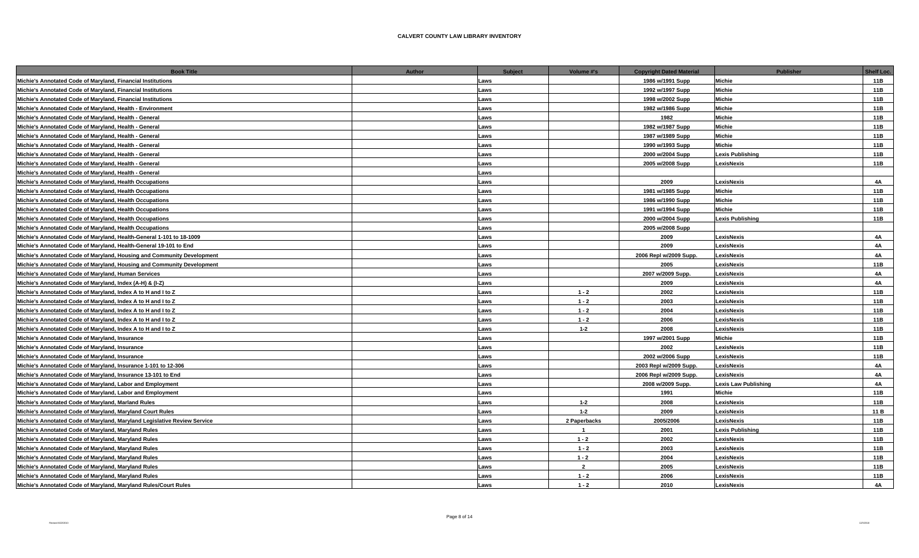| <b>Book Title</b>                                                        | Author | <b>Subject</b><br>Volume #'s | <b>Copyright Dated Material</b> | <b>Publisher</b>            | Shelf Loc. |
|--------------------------------------------------------------------------|--------|------------------------------|---------------------------------|-----------------------------|------------|
| Michie's Annotated Code of Maryland, Financial Institutions              | Laws   |                              | 1986 w/1991 Supp                | Michie                      | 11B        |
| Michie's Annotated Code of Maryland, Financial Institutions              | Laws   |                              | 1992 w/1997 Supp                | Michie                      | 11B        |
| Michie's Annotated Code of Maryland, Financial Institutions              | Laws   |                              | 1998 w/2002 Supp                | Michie                      | 11B        |
| Michie's Annotated Code of Maryland, Health - Environment                | Laws   |                              | 1982 w/1986 Supp                | Michie                      | 11B        |
| Michie's Annotated Code of Maryland, Health - General                    | Laws   |                              | 1982                            | Michie                      | 11B        |
| Michie's Annotated Code of Maryland, Health - General                    | Laws   |                              | 1982 w/1987 Supp                | Michie                      | 11B        |
| Michie's Annotated Code of Maryland, Health - General                    | Laws   |                              | 1987 w/1989 Supp                | Michie                      | 11B        |
| Michie's Annotated Code of Maryland, Health - General                    | Laws   |                              | 1990 w/1993 Supp                | Michie                      | 11B        |
| Michie's Annotated Code of Maryland, Health - General                    | Laws   |                              | 2000 w/2004 Supp                | <b>Lexis Publishing</b>     | 11B        |
| Michie's Annotated Code of Maryland, Health - General                    | Laws   |                              | 2005 w/2008 Supp                | LexisNexis                  | 11B        |
| Michie's Annotated Code of Maryland, Health - General                    | Laws   |                              |                                 |                             |            |
| Michie's Annotated Code of Maryland, Health Occupations                  | Laws   |                              | 2009                            | LexisNexis                  | 4A         |
| Michie's Annotated Code of Maryland, Health Occupations                  | Laws   |                              | 1981 w/1985 Supp                | Michie                      | 11B        |
| Michie's Annotated Code of Maryland, Health Occupations                  | Laws   |                              | 1986 w/1990 Supp                | Michie                      | 11B        |
| Michie's Annotated Code of Maryland, Health Occupations                  | Laws   |                              | 1991 w/1994 Supp                | Michie                      | 11B        |
| Michie's Annotated Code of Maryland, Health Occupations                  | Laws   |                              | 2000 w/2004 Supp                | <b>Lexis Publishing</b>     | 11B        |
| Michie's Annotated Code of Maryland, Health Occupations                  | Laws   |                              | 2005 w/2008 Supp                |                             |            |
| Michie's Annotated Code of Maryland, Health-General 1-101 to 18-1009     | Laws   |                              | 2009                            | LexisNexis                  | <b>4A</b>  |
| Michie's Annotated Code of Maryland, Health-General 19-101 to End        | Laws   |                              | 2009                            | LexisNexis                  | 4A         |
| Michie's Annotated Code of Maryland, Housing and Community Development   | Laws   |                              | 2006 Repl w/2009 Supp.          | LexisNexis                  | <b>4A</b>  |
| Michie's Annotated Code of Maryland, Housing and Community Development   | Laws   |                              | 2005                            | LexisNexis                  | 11B        |
| Michie's Annotated Code of Maryland, Human Services                      | Laws   |                              | 2007 w/2009 Supp.               | LexisNexis                  | 4A         |
| Michie's Annotated Code of Maryland, Index (A-H) & (I-Z)                 | Laws   |                              | 2009                            | LexisNexis                  | <b>4A</b>  |
| Michie's Annotated Code of Maryland, Index A to H and I to Z             | Laws   | $1 - 2$                      | 2002                            | LexisNexis                  | 11B        |
| Michie's Annotated Code of Maryland, Index A to H and I to Z             | Laws   | $1 - 2$                      | 2003                            | LexisNexis                  | 11B        |
| Michie's Annotated Code of Maryland, Index A to H and I to Z             | Laws   | $1 - 2$                      | 2004                            | LexisNexis                  | 11B        |
| Michie's Annotated Code of Maryland, Index A to H and I to Z             | Laws   | $1 - 2$                      | 2006                            | LexisNexis                  | 11B        |
| Michie's Annotated Code of Maryland, Index A to H and I to Z             | Laws   | $1 - 2$                      | 2008                            | LexisNexis                  | 11B        |
| Michie's Annotated Code of Marvland, Insurance                           | Laws   |                              | 1997 w/2001 Supp                | Michie                      | 11B        |
| Michie's Annotated Code of Maryland, Insurance                           | Laws   |                              | 2002                            | LexisNexis                  | 11B        |
| Michie's Annotated Code of Maryland, Insurance                           | Laws   |                              | 2002 w/2006 Supp                | LexisNexis                  | 11B        |
| Michie's Annotated Code of Maryland, Insurance 1-101 to 12-306           | Laws   |                              | 2003 Repl w/2009 Supp.          | LexisNexis                  | 4A         |
| Michie's Annotated Code of Maryland, Insurance 13-101 to End             | Laws   |                              | 2006 Repl w/2009 Supp.          | LexisNexis                  | 4A         |
| Michie's Annotated Code of Maryland, Labor and Employment                | Laws   |                              | 2008 w/2009 Supp.               | <b>Lexis Law Publishing</b> | <b>4A</b>  |
| Michie's Annotated Code of Maryland, Labor and Employment                | Laws   |                              | 1991                            | Michie                      | 11B        |
| Michie's Annotated Code of Maryland, Marland Rules                       | Laws   | $1 - 2$                      | 2008                            | LexisNexis                  | 11B        |
| Michie's Annotated Code of Maryland, Maryland Court Rules                | Laws   | $1 - 2$                      | 2009                            | LexisNexis                  | 11 B       |
| Michie's Annotated Code of Maryland, Maryland Legislative Review Service | Laws   | 2 Paperbacks                 | 2005/2006                       | LexisNexis                  | 11B        |
| Michie's Annotated Code of Maryland, Maryland Rules                      | Laws   | $\overline{1}$               | 2001                            | <b>Lexis Publishing</b>     | 11B        |
| Michie's Annotated Code of Maryland, Maryland Rules                      | Laws   | $1 - 2$                      | 2002                            | LexisNexis                  | 11B        |
| Michie's Annotated Code of Maryland, Maryland Rules                      | Laws   | $1 - 2$                      | 2003                            | LexisNexis                  | 11B        |
| Michie's Annotated Code of Maryland, Maryland Rules                      | Laws   | $1 - 2$                      | 2004                            | LexisNexis                  | 11B        |
| Michie's Annotated Code of Maryland, Maryland Rules                      | Laws   | $\overline{2}$               | 2005                            | LexisNexis                  | 11B        |
| Michie's Annotated Code of Maryland, Maryland Rules                      | Laws   | $1 - 2$                      | 2006                            | LexisNexis                  | 11B        |
| Michie's Annotated Code of Marvland, Marvland Rules/Court Rules          | Laws   | $1 - 2$                      | 2010                            | LexisNexis                  | <b>4A</b>  |
|                                                                          |        |                              |                                 |                             |            |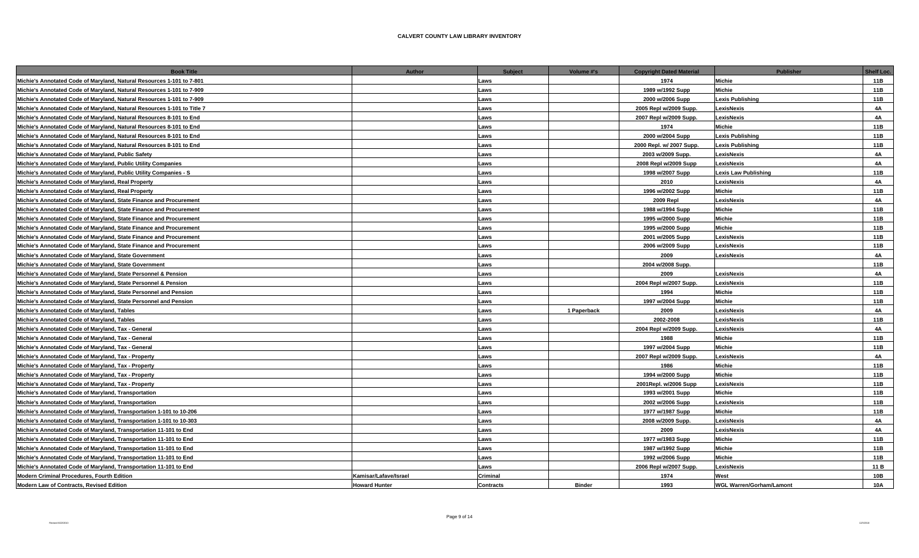| <b>Book Title</b>                                                       | <b>Author</b>                            | <b>Subject</b> | Volume #'s<br><b>Copyright Dated Material</b> | <b>Publisher</b>                | <b>Shelf Loc.</b> |
|-------------------------------------------------------------------------|------------------------------------------|----------------|-----------------------------------------------|---------------------------------|-------------------|
| Michie's Annotated Code of Maryland, Natural Resources 1-101 to 7-801   | Laws                                     |                | 1974                                          | Michie                          | 11B               |
| Michie's Annotated Code of Maryland, Natural Resources 1-101 to 7-909   | Laws                                     |                | 1989 w/1992 Supp                              | <b>Michie</b>                   | 11B               |
| Michie's Annotated Code of Maryland, Natural Resources 1-101 to 7-909   | Laws                                     |                | 2000 w/2006 Supp                              | <b>Lexis Publishing</b>         | 11B               |
| Michie's Annotated Code of Maryland, Natural Resources 1-101 to Title 7 | Laws                                     |                | 2005 Repl w/2009 Supp.                        | LexisNexis                      | 4A                |
| Michie's Annotated Code of Maryland, Natural Resources 8-101 to End     | Laws                                     |                | 2007 Repl w/2009 Supp.                        | LexisNexis                      | 4A                |
| Michie's Annotated Code of Maryland, Natural Resources 8-101 to End     | Laws                                     |                | 1974                                          | Michie                          | 11B               |
| Michie's Annotated Code of Maryland, Natural Resources 8-101 to End     | Laws                                     |                | 2000 w/2004 Supp                              | <b>Lexis Publishing</b>         | 11B               |
| Michie's Annotated Code of Maryland, Natural Resources 8-101 to End     | Laws                                     |                | 2000 Repl. w/ 2007 Supp.                      | <b>Lexis Publishing</b>         | 11B               |
| Michie's Annotated Code of Maryland, Public Safety                      | Laws                                     |                | 2003 w/2009 Supp.                             | LexisNexis                      | 4A                |
| Michie's Annotated Code of Maryland, Public Utility Companies           | Laws                                     |                | 2008 Repl w/2009 Supp                         | LexisNexis                      | 4A                |
| Michie's Annotated Code of Maryland, Public Utility Companies - S       | Laws                                     |                | 1998 w/2007 Supp                              | <b>Lexis Law Publishing</b>     | 11B               |
| Michie's Annotated Code of Maryland, Real Property                      | Laws                                     |                | 2010                                          | LexisNexis                      | 4A                |
| Michie's Annotated Code of Maryland, Real Property                      | Laws                                     |                | 1996 w/2002 Supp                              | Michie                          | 11B               |
| Michie's Annotated Code of Maryland, State Finance and Procurement      | Laws                                     |                | <b>2009 Repl</b>                              | LexisNexis                      | 4A                |
| Michie's Annotated Code of Maryland, State Finance and Procurement      | Laws                                     |                | 1988 w/1994 Supp                              | Michie                          | 11B               |
| Michie's Annotated Code of Maryland, State Finance and Procurement      | Laws                                     |                | 1995 w/2000 Supp                              | Michie                          | 11B               |
| Michie's Annotated Code of Maryland, State Finance and Procurement      | Laws                                     |                | 1995 w/2000 Supp                              | Michie                          | 11B               |
| Michie's Annotated Code of Maryland, State Finance and Procurement      | Laws                                     |                | 2001 w/2005 Supp                              | LexisNexis                      | 11B               |
| Michie's Annotated Code of Maryland, State Finance and Procurement      | Laws                                     |                | 2006 w/2009 Supp                              | LexisNexis                      | 11B               |
| Michie's Annotated Code of Maryland, State Government                   | Laws                                     |                | 2009                                          | LexisNexis                      | 4A                |
| Michie's Annotated Code of Maryland, State Government                   | Laws                                     |                | 2004 w/2008 Supp.                             |                                 | 11B               |
| Michie's Annotated Code of Maryland, State Personnel & Pension          | Laws                                     |                | 2009                                          | LexisNexis                      | 4A                |
| Michie's Annotated Code of Maryland, State Personnel & Pension          | Laws                                     |                | 2004 Repl w/2007 Supp.                        | LexisNexis                      | 11B               |
| Michie's Annotated Code of Maryland, State Personnel and Pension        | Laws                                     |                | 1994                                          | Michie                          | 11B               |
| Michie's Annotated Code of Maryland, State Personnel and Pension        | Laws                                     |                | 1997 w/2004 Supp                              | <b>Michie</b>                   | 11B               |
| Michie's Annotated Code of Maryland, Tables                             | Laws                                     |                | 2009<br>1 Paperback                           | LexisNexis                      | <b>4A</b>         |
| Michie's Annotated Code of Maryland, Tables                             | Laws                                     |                | 2002-2008                                     | LexisNexis                      | 11B               |
| Michie's Annotated Code of Maryland, Tax - General                      | Laws                                     |                | 2004 Repl w/2009 Supp.                        | LexisNexis                      | 4A                |
| Michie's Annotated Code of Maryland, Tax - General                      | Laws                                     |                | 1988                                          | Michie                          | 11B               |
| Michie's Annotated Code of Maryland, Tax - General                      | Laws                                     |                | 1997 w/2004 Supp                              | Michie                          | 11B               |
| Michie's Annotated Code of Maryland, Tax - Property                     | Laws                                     |                | 2007 Repl w/2009 Supp.                        | LexisNexis                      | 4A                |
| Michie's Annotated Code of Maryland, Tax - Property                     | Laws                                     |                | 1986                                          | Michie                          | 11B               |
| Michie's Annotated Code of Maryland, Tax - Property                     | Laws                                     |                | 1994 w/2000 Supp                              | Michie                          | 11B               |
| Michie's Annotated Code of Maryland, Tax - Property                     | Laws                                     |                | 2001Repl. w/2006 Supp                         | LexisNexis                      | 11B               |
| Michie's Annotated Code of Maryland, Transportation                     | Laws                                     |                | 1993 w/2001 Supp                              | Michie                          | 11B               |
| Michie's Annotated Code of Maryland, Transportation                     | Laws                                     |                | 2002 w/2006 Supp                              | LexisNexis                      | 11B               |
| Michie's Annotated Code of Maryland, Transportation 1-101 to 10-206     | Laws                                     |                | 1977 w/1987 Supp                              | Michie                          | 11B               |
| Michie's Annotated Code of Maryland, Transportation 1-101 to 10-303     | Laws                                     |                | 2008 w/2009 Supp.                             | LexisNexis                      | 4A                |
| Michie's Annotated Code of Maryland, Transportation 11-101 to End       | Laws                                     |                | 2009                                          | LexisNexis                      | 4A                |
| Michie's Annotated Code of Maryland, Transportation 11-101 to End       | Laws                                     |                | 1977 w/1983 Supp                              | Michie                          | 11B               |
| Michie's Annotated Code of Maryland, Transportation 11-101 to End       | Laws                                     |                | 1987 w/1992 Supp                              | Michie                          | 11B               |
| Michie's Annotated Code of Maryland, Transportation 11-101 to End       | Laws                                     |                | 1992 w/2006 Supp                              | Michie                          | 11B               |
| Michie's Annotated Code of Maryland, Transportation 11-101 to End       | Laws                                     |                | 2006 Repl w/2007 Supp.                        | LexisNexis                      | 11 B              |
| <b>Modern Criminal Procedures, Fourth Edition</b>                       | Kamisar/Lafave/Israel<br>Criminal        |                | 1974                                          | West                            | 10B               |
| <b>Modern Law of Contracts, Revised Edition</b>                         | <b>Howard Hunter</b><br><b>Contracts</b> |                | 1993<br><b>Binder</b>                         | <b>WGL Warren/Gorham/Lamont</b> | <b>10A</b>        |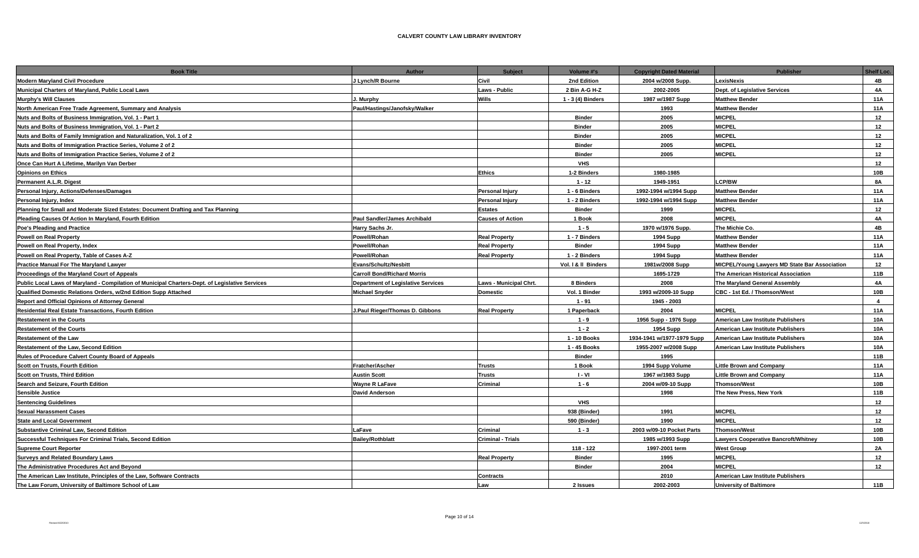| <b>Book Title</b>                                                                               | Author                             | <b>Subject</b>           | Volume #'s          | <b>Copyright Dated Material</b> | <b>Publisher</b>                              | Shelf Loc.     |
|-------------------------------------------------------------------------------------------------|------------------------------------|--------------------------|---------------------|---------------------------------|-----------------------------------------------|----------------|
| <b>Modern Maryland Civil Procedure</b>                                                          | J Lynch/R Bourne                   | Civil                    | 2nd Edition         | 2004 w/2008 Supp.               | LexisNexis                                    | 4B             |
| Municipal Charters of Maryland, Public Local Laws                                               |                                    | <b>Laws - Public</b>     | 2 Bin A-G H-Z       | 2002-2005                       | Dept. of Legislative Services                 | 4A             |
| <b>Murphy's Will Clauses</b>                                                                    | J. Murphy                          | Wills                    | 1 - 3 (4) Binders   | 1987 w/1987 Supp                | <b>Matthew Bender</b>                         | 11A            |
| North American Free Trade Agreement, Summary and Analysis                                       | Paul/Hastings/Janofsky/Walker      |                          |                     | 1993                            | <b>Matthew Bender</b>                         | <b>11A</b>     |
| Nuts and Bolts of Business Immigration, Vol. 1 - Part 1                                         |                                    |                          | <b>Binder</b>       | 2005                            | <b>MICPEL</b>                                 | 12             |
| Nuts and Bolts of Business Immigration, Vol. 1 - Part 2                                         |                                    |                          | <b>Binder</b>       | 2005                            | <b>MICPEL</b>                                 | 12             |
| Nuts and Bolts of Family Immigration and Naturalization, Vol. 1 of 2                            |                                    |                          | <b>Binder</b>       | 2005                            | <b>MICPEL</b>                                 | 12             |
| Nuts and Bolts of Immigration Practice Series, Volume 2 of 2                                    |                                    |                          | <b>Binder</b>       | 2005                            | <b>MICPEL</b>                                 | 12             |
| Nuts and Bolts of Immigration Practice Series, Volume 2 of 2                                    |                                    |                          | <b>Binder</b>       | 2005                            | <b>MICPEL</b>                                 | 12             |
| Once Can Hurt A Lifetime, Marilyn Van Derber                                                    |                                    |                          | <b>VHS</b>          |                                 |                                               | 12             |
| <b>Opinions on Ethics</b>                                                                       |                                    | <b>Ethics</b>            | 1-2 Binders         | 1980-1985                       |                                               | 10B            |
| Permanent A.L.R. Digest                                                                         |                                    |                          | $1 - 12$            | 1949-1951                       | <b>LCP/BW</b>                                 | <b>8A</b>      |
| Personal Injury, Actions/Defenses/Damages                                                       |                                    | <b>Personal Injury</b>   | 1 - 6 Binders       | 1992-1994 w/1994 Supp           | <b>Matthew Bender</b>                         | <b>11A</b>     |
| Personal Injury, Index                                                                          |                                    | <b>Personal Injury</b>   | 1 - 2 Binders       | 1992-1994 w/1994 Supp           | <b>Matthew Bender</b>                         | <b>11A</b>     |
| Planning for Small and Moderate Sized Estates: Document Drafting and Tax Planning               |                                    | <b>Estates</b>           | <b>Binder</b>       | 1999                            | <b>MICPEL</b>                                 | 12             |
| Pleading Causes Of Action In Maryland, Fourth Edition                                           | Paul Sandler/James Archibald       | <b>Causes of Action</b>  | 1 Book              | 2008                            | <b>MICPEL</b>                                 | 4A             |
| Poe's Pleading and Practice                                                                     | Harry Sachs Jr.                    |                          | $1 - 5$             | 1970 w/1976 Supp.               | The Michie Co.                                | 4B             |
| <b>Powell on Real Property</b>                                                                  | Powell/Rohan                       | <b>Real Property</b>     | 1 - 7 Binders       | <b>1994 Supp</b>                | <b>Matthew Bender</b>                         | <b>11A</b>     |
| Powell on Real Property, Index                                                                  | <b>Powell/Rohan</b>                | <b>Real Property</b>     | <b>Binder</b>       | <b>1994 Supp</b>                | <b>Matthew Bender</b>                         | 11A            |
| Powell on Real Property, Table of Cases A-Z                                                     | Powell/Rohan                       | <b>Real Property</b>     | 1 - 2 Binders       | 1994 Supp                       | <b>Matthew Bender</b>                         | <b>11A</b>     |
| <b>Practice Manual For The Maryland Lawyer</b>                                                  | <b>Evans/Schultz/Nesbitt</b>       |                          | Vol. I & II Binders | 1981w/2008 Supp                 | MICPEL/Young Lawyers MD State Bar Association | 12             |
| Proceedings of the Maryland Court of Appeals                                                    | <b>Carroll Bond/Richard Morris</b> |                          |                     | 1695-1729                       | The American Historical Association           | 11B            |
| Public Local Laws of Maryland - Compilation of Municipal Charters-Dept. of Legislative Services | Department of Legislative Services | Laws - Municipal Chrt.   | 8 Binders           | 2008                            | The Maryland General Assembly                 | <b>4A</b>      |
| Qualified Domestic Relations Orders, w/2nd Edition Supp Attached                                | <b>Michael Snyder</b>              | <b>Domestic</b>          | Vol. 1 Binder       | 1993 w/2009-10 Supp             | CBC - 1st Ed. / Thomson/West                  | 10B            |
| Report and Official Opinions of Attorney General                                                |                                    |                          | $1 - 91$            | 1945 - 2003                     |                                               | $\overline{4}$ |
| <b>Residential Real Estate Transactions, Fourth Edition</b>                                     | J.Paul Rieger/Thomas D. Gibbons    | <b>Real Property</b>     | 1 Paperback         | 2004                            | <b>MICPEL</b>                                 | <b>11A</b>     |
| <b>Restatement in the Courts</b>                                                                |                                    |                          | $1 - 9$             | 1956 Supp - 1976 Supp           | American Law Institute Publishers             | 10A            |
| <b>Restatement of the Courts</b>                                                                |                                    |                          | $1 - 2$             | <b>1954 Supp</b>                | American Law Institute Publishers             | <b>10A</b>     |
| <b>Restatement of the Law</b>                                                                   |                                    |                          | 1 - 10 Books        | 1934-1941 w/1977-1979 Supp      | American Law Institute Publishers             | <b>10A</b>     |
| Restatement of the Law, Second Edition                                                          |                                    |                          | 1 - 45 Books        | 1955-2007 w/2008 Supp           | American Law Institute Publishers             | 10A            |
| Rules of Procedure Calvert County Board of Appeals                                              |                                    |                          | <b>Binder</b>       | 1995                            |                                               | 11B            |
| Scott on Trusts, Fourth Edition                                                                 | Fratcher/Ascher                    | <b>Trusts</b>            | 1 Book              | 1994 Supp Volume                | <b>Little Brown and Company</b>               | <b>11A</b>     |
| <b>Scott on Trusts, Third Edition</b>                                                           | <b>Austin Scott</b>                | <b>Trusts</b>            | I - VI              | 1967 w/1983 Supp                | <b>Little Brown and Company</b>               | 11A            |
| Search and Seizure, Fourth Edition                                                              | <b>Wayne R LaFave</b>              | Criminal                 | $1 - 6$             | 2004 w/09-10 Supp               | <b>Thomson/West</b>                           | 10B            |
| Sensible Justice                                                                                | <b>David Anderson</b>              |                          |                     | 1998                            | The New Press, New York                       | 11B            |
| <b>Sentencing Guidelines</b>                                                                    |                                    |                          | <b>VHS</b>          |                                 |                                               | 12             |
| <b>Sexual Harassment Cases</b>                                                                  |                                    |                          | 938 (Binder)        | 1991                            | <b>MICPEL</b>                                 | 12             |
| <b>State and Local Government</b>                                                               |                                    |                          | 590 (Binder)        | 1990                            | <b>MICPEL</b>                                 | 12             |
| <b>Substantive Criminal Law, Second Edition</b>                                                 | LaFave                             | Criminal                 | $1 - 3$             | 2003 w/09-10 Pocket Parts       | <b>Thomson/West</b>                           | 10B            |
| Successful Techniques For Criminal Trials, Second Edition                                       | <b>Bailey/Rothblatt</b>            | <b>Criminal - Trials</b> |                     | 1985 w/1993 Supp                | <b>Lawyers Cooperative Bancroft/Whitney</b>   | 10B            |
| <b>Supreme Court Reporter</b>                                                                   |                                    |                          | 118 - 122           | 1997-2001 term                  | <b>West Group</b>                             | 2A             |
| <b>Surveys and Related Boundary Laws</b>                                                        |                                    | <b>Real Property</b>     | <b>Binder</b>       | 1995                            | <b>MICPEL</b>                                 | 12             |
| The Administrative Procedures Act and Beyond                                                    |                                    |                          | <b>Binder</b>       | 2004                            | <b>MICPEL</b>                                 | 12             |
| The American Law Institute, Principles of the Law, Software Contracts                           |                                    | <b>Contracts</b>         |                     | 2010                            | American Law Institute Publishers             |                |
| The Law Forum, University of Baltimore School of Law                                            |                                    | Law                      | 2 Issues            | 2002-2003                       | <b>University of Baltimore</b>                | 11B            |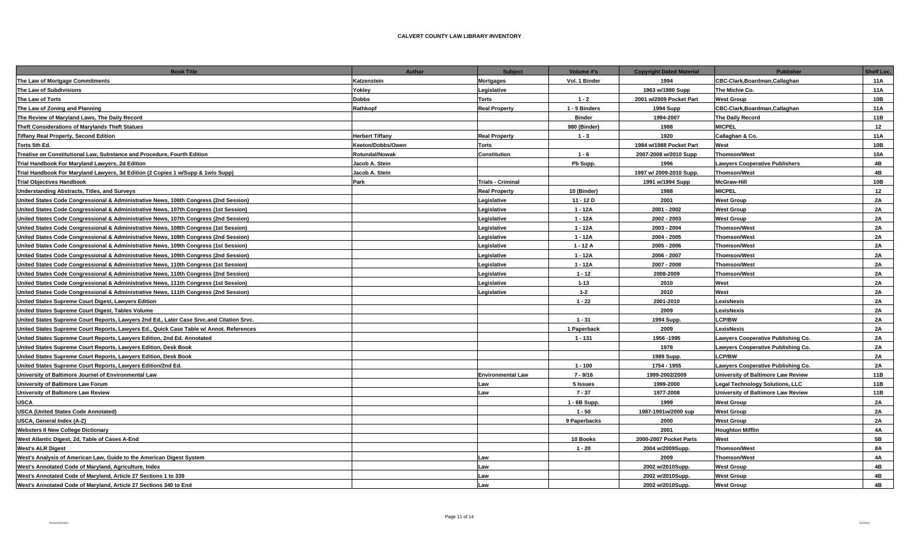| <b>Book Title</b>                                                                        | Author                 | <b>Subject</b>           | Volume #'s    | <b>Copyright Dated Material</b> | Publisher                                 | Shelf Loc. |
|------------------------------------------------------------------------------------------|------------------------|--------------------------|---------------|---------------------------------|-------------------------------------------|------------|
| The Law of Mortgage Commitments                                                          | Katzenstein            | <b>Mortgages</b>         | Vol. 1 Binder | 1994                            | CBC-Clark, Boardman, Callaghan            | <b>11A</b> |
| The Law of Subdivisions                                                                  | Yokley                 | Legislative              |               | 1963 w/1980 Supp                | The Michie Co.                            | <b>11A</b> |
| The Law of Torts                                                                         | <b>Dobbs</b>           | <b>Torts</b>             | $1 - 2$       | 2001 w/2009 Pocket Part         | <b>West Group</b>                         | 10B        |
| The Law of Zoning and Planning                                                           | Rathkopf               | <b>Real Property</b>     | 1 - 5 Binders | 1994 Supp                       | CBC-Clark, Boardman, Callaghan            | 11A        |
| The Review of Maryland Laws, The Daily Record                                            |                        |                          | <b>Binder</b> | 1994-2007                       | The Daily Record                          | 11B        |
| Theft Considerations of Marylands Theft Statues                                          |                        |                          | 980 (Binder)  | 1988                            | <b>MICPEL</b>                             | 12         |
| <b>Tiffany Real Property, Second Edition</b>                                             | <b>Herbert Tiffany</b> | <b>Real Property</b>     | $1 - 3$       | 1920                            | Callaghan & Co.                           | <b>11A</b> |
| Torts 5th Ed.                                                                            | Keeton/Dobbs/Owen      | <b>Torts</b>             |               | 1984 w/1988 Pocket Part         | West                                      | 10B        |
| Treatise on Constitutional Law, Substance and Procedure, Fourth Edition                  | <b>Rotundal/Nowak</b>  | Constitution             | $1 - 6$       | 2007-2008 w/2010 Supp           | <b>Thomson/West</b>                       | 10A        |
| Trial Handbook For Maryland Lawyers, 2d Edition                                          | Jacob A. Stein         |                          | Pb Supp.      | 1996                            | <b>Lawyers Cooperative Publishers</b>     | 4B         |
| Trial Handbook For Maryland Lawyers, 3d Edition (2 Copies 1 w/Supp & 1w/o Supp)          | Jacob A. Stein         |                          |               | 1997 w/ 2009-2010 Supp.         | <b>Thomson/West</b>                       | 4B         |
| <b>Trial Objectives Handbook</b>                                                         | Park                   | <b>Trials - Criminal</b> |               | 1991 w/1994 Supp                | <b>McGraw-Hill</b>                        | 10B        |
| <b>Understanding Abstracts, Titles, and Surveys</b>                                      |                        | <b>Real Property</b>     | 10 (Binder)   | 1988                            | <b>MICPEL</b>                             | 12         |
| United States Code Congressional & Administrative News, 106th Congress (2nd Session)     |                        | Legislative              | $11 - 12D$    | 2001                            | <b>West Group</b>                         | 2A         |
| United States Code Congressional & Administrative News, 107th Congress (1st Session)     |                        | Legislative              | $1 - 12A$     | 2001 - 2002                     | <b>West Group</b>                         | 2A         |
| United States Code Congressional & Administrative News, 107th Congress (2nd Session)     |                        | Legislative              | $1 - 12A$     | 2002 - 2003                     | <b>West Group</b>                         | 2A         |
| United States Code Congressional & Administrative News, 108th Congress (1st Session)     |                        | Legislative              | $1 - 12A$     | 2003 - 2004                     | <b>Thomson/West</b>                       | 2A         |
| United States Code Congressional & Administrative News, 108th Congress (2nd Session)     |                        | Legislative              | $1 - 12A$     | 2004 - 2005                     | <b>Thomson/West</b>                       | 2A         |
| United States Code Congressional & Administrative News, 109th Congress (1st Session)     |                        | Legislative              | $1 - 12A$     | 2005 - 2006                     | <b>Thomson/West</b>                       | 2A         |
| United States Code Congressional & Administrative News, 109th Congress (2nd Session)     |                        | Legislative              | $1 - 12A$     | 2006 - 2007                     | <b>Thomson/West</b>                       | 2A         |
| United States Code Congressional & Administrative News, 110th Congress (1st Session)     |                        | Legislative              | $1 - 12A$     | 2007 - 2008                     | <b>Thomson/West</b>                       | 2A         |
| United States Code Congressional & Administrative News, 110th Congress (2nd Session)     |                        | Legislative              | $1 - 12$      | 2008-2009                       | <b>Thomson/West</b>                       | 2A         |
| United States Code Congressional & Administrative News, 111th Congress (1st Session)     |                        | Legislative              | $1 - 13$      | 2010                            | West                                      | <b>2A</b>  |
| United States Code Congressional & Administrative News, 111th Congress (2nd Session)     |                        | Legislative              | $1 - 2$       | 2010                            | West                                      | 2A         |
| United States Supreme Court Digest, Lawyers Edition                                      |                        |                          | $1 - 22$      | 2001-2010                       | LexisNexis                                | 2A         |
| United States Supreme Court Digest, Tables Volume                                        |                        |                          |               | 2009                            | LexisNexis                                | 2A         |
| United States Supreme Court Reports, Lawyers 2nd Ed., Later Case Srvc.and Citation Srvc. |                        |                          | $1 - 31$      | 1994 Supp.                      | LCP/BW                                    | 2A         |
| United States Supreme Court Reports, Lawyers Ed., Quick Case Table w/ Annot. References  |                        |                          | 1 Paperback   | 2009                            | LexisNexis                                | <b>2A</b>  |
| United States Supreme Court Reports, Lawyers Edition, 2nd Ed. Annotated                  |                        |                          | $1 - 131$     | 1956 -1995                      | <b>Lawyers Cooperative Publishing Co.</b> | 2A         |
| United States Supreme Court Reports, Lawyers Edition, Desk Book                          |                        |                          |               | 1978                            | Lawyers Cooperative Publishing Co.        | 2A         |
| United States Supreme Court Reports, Lawyers Edition, Desk Book                          |                        |                          |               | 1989 Supp.                      | <b>LCP/BW</b>                             | 2A         |
| United States Supreme Court Reports, Lawyers Edition/2nd Ed.                             |                        |                          | $1 - 100$     | 1754 - 1955                     | Lawyers Cooperative Publishing Co.        | <b>2A</b>  |
| University of Baltimore Journel of Environmental Law                                     |                        | <b>Environmental Law</b> | 7 - 9/16      | 1999-2002/2009                  | University of Baltimore Law Review        | 11B        |
| University of Baltimore Law Forum                                                        |                        | Law                      | 5 Issues      | 1999-2000                       | <b>Legal Technology Solutions, LLC</b>    | 11B        |
| University of Baltimore Law Review                                                       |                        | Law                      | $7 - 37$      | 1977-2008                       | University of Baltimore Law Review        | 11B        |
| <b>USCA</b>                                                                              |                        |                          | 1 - 6B Supp.  | 1999                            | <b>West Group</b>                         | 2A         |
| <b>USCA (United States Code Annotated)</b>                                               |                        |                          | $1 - 50$      | 1987-1991w/2000 sup             | <b>West Group</b>                         | 2A         |
| USCA, General Index (A-Z)                                                                |                        |                          | 9 Paperbacks  | 2000                            | <b>West Group</b>                         | 2A         |
| <b>Websters II New College Dictionary</b>                                                |                        |                          |               | 2001                            | <b>Houghton Mifflin</b>                   | 4A         |
| West Atlantic Digest, 2d, Table of Cases A-End                                           |                        |                          | 10 Books      | 2000-2007 Pocket Parts          | West                                      | 5B         |
| <b>West's ALR Digest</b>                                                                 |                        |                          | $1 - 20$      | 2004 w/2009Supp.                | <b>Thomson/West</b>                       | <b>8A</b>  |
| West's Analysis of American Law, Guide to the American Digest System                     |                        | Law                      |               | 2009                            | <b>Thomson/West</b>                       | 4A         |
| West's Annotated Code of Maryland, Agriculture, Index                                    |                        | Law                      |               | 2002 w/2010Supp.                | <b>West Group</b>                         | 4B         |
| West's Annotated Code of Maryland, Article 27 Sections 1 to 339                          |                        | Law                      |               | 2002 w/2010Supp.                | <b>West Group</b>                         | 4B         |
| West's Annotated Code of Marvland, Article 27 Sections 340 to End                        |                        | Law                      |               | 2002 w/2010Supp.                | <b>West Group</b>                         | 4B         |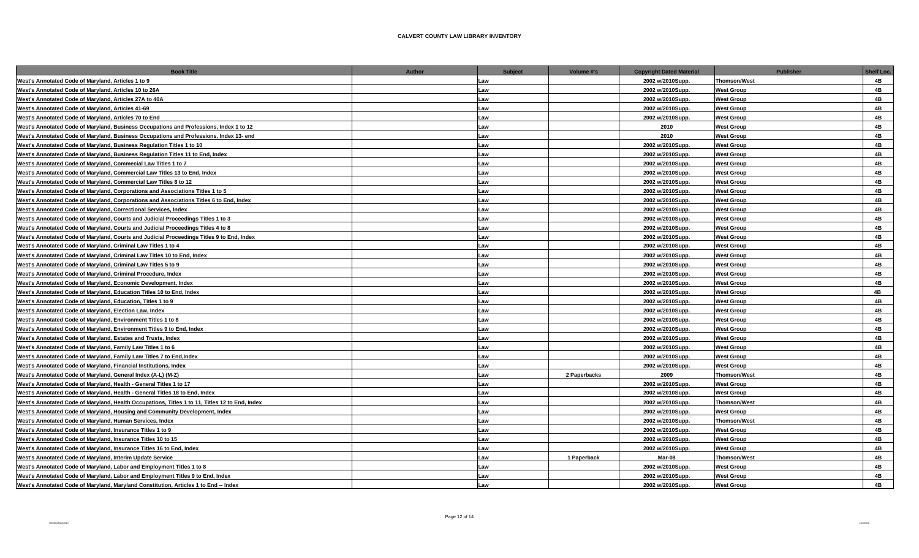| <b>Book Title</b>                                                                              | Author | <b>Subject</b> | Volume #'s   | <b>Copyright Dated Material</b> | <b>Publisher</b>    | Shelf Loc. |
|------------------------------------------------------------------------------------------------|--------|----------------|--------------|---------------------------------|---------------------|------------|
| West's Annotated Code of Maryland, Articles 1 to 9                                             |        | Law            |              | 2002 w/2010Supp.                | <b>Thomson/West</b> | 4B         |
| West's Annotated Code of Maryland, Articles 10 to 26A                                          |        | Law            |              | 2002 w/2010Supp.                | <b>West Group</b>   | 4B         |
| West's Annotated Code of Maryland, Articles 27A to 40A                                         |        | Law            |              | 2002 w/2010Supp.                | <b>West Group</b>   | 4B         |
| West's Annotated Code of Maryland, Articles 41-69                                              |        | Law            |              | 2002 w/2010Supp.                | <b>West Group</b>   | 4B         |
| West's Annotated Code of Maryland, Articles 70 to End                                          |        | Law            |              | 2002 w/2010Supp.                | <b>West Group</b>   | 4B         |
| West's Annotated Code of Maryland, Business Occupations and Professions, Index 1 to 12         |        | Law            |              | 2010                            | <b>West Group</b>   | 4B         |
| West's Annotated Code of Maryland, Business Occupations and Professions, Index 13- end         |        | Law            |              | 2010                            | <b>West Group</b>   | 4B         |
| West's Annotated Code of Maryland, Business Regulation Titles 1 to 10                          |        | Law            |              | 2002 w/2010Supp.                | <b>West Group</b>   | 4B         |
| West's Annotated Code of Maryland, Business Regulation Titles 11 to End, Index                 |        | Law            |              | 2002 w/2010Supp.                | <b>West Group</b>   | 4B         |
| West's Annotated Code of Maryland, Commecial Law Titles 1 to 7                                 |        | Law            |              | 2002 w/2010Supp.                | <b>West Group</b>   | 4B         |
| West's Annotated Code of Maryland, Commercial Law Titles 13 to End, Index                      |        | Law            |              | 2002 w/2010Supp.                | <b>West Group</b>   | 4B         |
| West's Annotated Code of Maryland, Commercial Law Titles 8 to 12                               |        | Law            |              | 2002 w/2010Supp.                | <b>West Group</b>   | 4B         |
| West's Annotated Code of Maryland, Corporations and Associations Titles 1 to 5                 |        | Law            |              | 2002 w/2010Supp.                | <b>West Group</b>   | 4B         |
| West's Annotated Code of Maryland, Corporations and Associations Titles 6 to End, Index        |        | Law            |              | 2002 w/2010Supp.                | <b>West Group</b>   | 4B         |
| West's Annotated Code of Maryland, Correctional Services, Index                                |        | Law            |              | 2002 w/2010Supp.                | <b>West Group</b>   | 4B         |
| West's Annotated Code of Maryland, Courts and Judicial Proceedings Titles 1 to 3               |        | Law            |              | 2002 w/2010Supp.                | <b>West Group</b>   | 4B         |
| West's Annotated Code of Maryland, Courts and Judicial Proceedings Titles 4 to 8               |        | Law            |              | 2002 w/2010Supp.                | <b>West Group</b>   | 4B         |
| West's Annotated Code of Maryland, Courts and Judicial Proceedings Titles 9 to End, Index      |        | Law            |              | 2002 w/2010Supp.                | <b>West Group</b>   | 4B         |
| West's Annotated Code of Maryland, Criminal Law Titles 1 to 4                                  |        | Law            |              | 2002 w/2010Supp.                | <b>West Group</b>   | 4B         |
| West's Annotated Code of Maryland, Criminal Law Titles 10 to End, Index                        |        | Law            |              | 2002 w/2010Supp.                | <b>West Group</b>   | 4B         |
| West's Annotated Code of Maryland, Criminal Law Titles 5 to 9                                  |        | Law            |              | 2002 w/2010Supp.                | <b>West Group</b>   | 4B         |
| West's Annotated Code of Maryland, Criminal Procedure, Index                                   |        | Law            |              | 2002 w/2010Supp.                | <b>West Group</b>   | 4B         |
| West's Annotated Code of Maryland, Economic Development, Index                                 |        | Law            |              | 2002 w/2010Supp.                | <b>West Group</b>   | 4B         |
| West's Annotated Code of Maryland, Education Titles 10 to End, Index                           |        | Law            |              | 2002 w/2010Supp.                | <b>West Group</b>   | 4B         |
| West's Annotated Code of Maryland, Education, Titles 1 to 9                                    |        | Law            |              | 2002 w/2010Supp.                | <b>West Group</b>   | 4B         |
| West's Annotated Code of Maryland, Election Law, Index                                         |        | Law            |              | 2002 w/2010Supp.                | <b>West Group</b>   | 4B         |
| West's Annotated Code of Maryland, Environment Titles 1 to 8                                   |        | Law            |              | 2002 w/2010Supp.                | <b>West Group</b>   | 4B         |
| West's Annotated Code of Maryland, Environment Titles 9 to End, Index                          |        | Law            |              | 2002 w/2010Supp.                | <b>West Group</b>   | 4B         |
| West's Annotated Code of Maryland, Estates and Trusts, Index                                   |        | Law            |              | 2002 w/2010Supp.                | <b>West Group</b>   | 4B         |
| West's Annotated Code of Maryland, Family Law Titles 1 to 6                                    |        | Law            |              | 2002 w/2010Supp.                | <b>West Group</b>   | 4B         |
| West's Annotated Code of Maryland, Family Law Titles 7 to End, Index                           |        | Law            |              | 2002 w/2010Supp.                | <b>West Group</b>   | 4B         |
| West's Annotated Code of Maryland, Financial Institutions, Index                               |        | Law            |              | 2002 w/2010Supp.                | <b>West Group</b>   | 4B         |
| West's Annotated Code of Maryland, General Index (A-L) (M-Z)                                   |        | Law            | 2 Paperbacks | 2009                            | <b>Thomson/West</b> | 4B         |
| West's Annotated Code of Maryland, Health - General Titles 1 to 17                             |        | Law            |              | 2002 w/2010Supp.                | <b>West Group</b>   | 4B         |
| West's Annotated Code of Maryland, Health - General Titles 18 to End, Index                    |        | Law            |              | 2002 w/2010Supp.                | <b>West Group</b>   | 4B         |
| West's Annotated Code of Maryland, Health Occupations, Titles 1 to 11, Titles 12 to End, Index |        | Law            |              | 2002 w/2010Supp.                | <b>Thomson/West</b> | 4B         |
| West's Annotated Code of Maryland, Housing and Community Development, Index                    |        | Law            |              | 2002 w/2010Supp.                | <b>West Group</b>   | 4B         |
| West's Annotated Code of Maryland, Human Services, Index                                       |        | Law            |              | 2002 w/2010Supp.                | <b>Thomson/West</b> | 4B         |
| West's Annotated Code of Maryland, Insurance Titles 1 to 9                                     |        | Law            |              | 2002 w/2010Supp.                | <b>West Group</b>   | 4B         |
| West's Annotated Code of Maryland, Insurance Titles 10 to 15                                   |        | Law            |              | 2002 w/2010Supp.                | <b>West Group</b>   | 4B         |
| West's Annotated Code of Maryland, Insurance Titles 16 to End, Index                           |        | Law            |              | 2002 w/2010Supp.                | <b>West Group</b>   | 4B         |
| West's Annotated Code of Maryland, Interim Update Service                                      |        | Law            | 1 Paperback  | Mar-08                          | <b>Thomson/West</b> | 4B         |
| West's Annotated Code of Maryland, Labor and Employment Titles 1 to 8                          |        | Law            |              | 2002 w/2010Supp.                | <b>West Group</b>   | 4B         |
| West's Annotated Code of Maryland, Labor and Employment Titles 9 to End, Index                 |        | Law            |              | 2002 w/2010Supp.                | <b>West Group</b>   | 4B         |
| West's Annotated Code of Maryland, Maryland Constitution, Articles 1 to End -- Index           |        | Law            |              | 2002 w/2010Supp.                | <b>West Group</b>   | 4B         |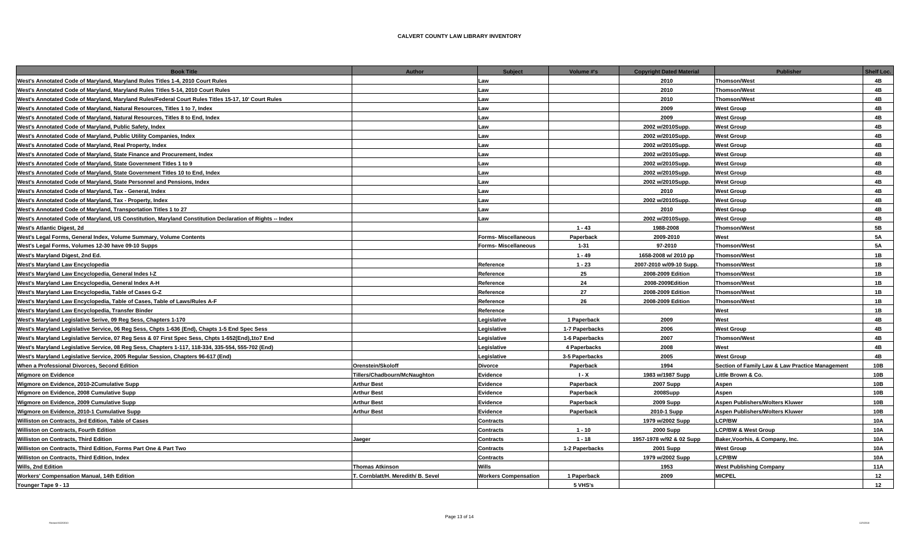| <b>Book Title</b>                                                                                        | Author                             | <b>Subject</b>              | Volume #'s     | <b>Copyright Dated Material</b> | <b>Publisher</b>                                | Shelf Loc. |
|----------------------------------------------------------------------------------------------------------|------------------------------------|-----------------------------|----------------|---------------------------------|-------------------------------------------------|------------|
| West's Annotated Code of Maryland, Maryland Rules Titles 1-4, 2010 Court Rules                           |                                    | Law                         |                | 2010                            | <b>Thomson/West</b>                             | 4B         |
| West's Annotated Code of Maryland, Maryland Rules Titles 5-14, 2010 Court Rules                          |                                    | Law                         |                | 2010                            | <b>Thomson/West</b>                             | 4B         |
| West's Annotated Code of Maryland, Maryland Rules/Federal Court Rules Titles 15-17, 10' Court Rules      |                                    | Law                         |                | 2010                            | <b>Thomson/West</b>                             | 4B         |
| West's Annotated Code of Maryland, Natural Resources, Titles 1 to 7, Index                               |                                    | Law                         |                | 2009                            | <b>West Group</b>                               | 4B         |
| West's Annotated Code of Maryland, Natural Resources, Titles 8 to End, Index                             |                                    | Law                         |                | 2009                            | <b>West Group</b>                               | 4B         |
| West's Annotated Code of Maryland, Public Safety, Index                                                  |                                    | Law                         |                | 2002 w/2010Supp.                | <b>West Group</b>                               | 4B         |
| West's Annotated Code of Maryland, Public Utility Companies, Index                                       |                                    | Law                         |                | 2002 w/2010Supp.                | <b>West Group</b>                               | 4B         |
| West's Annotated Code of Maryland, Real Property, Index                                                  |                                    | Law                         |                | 2002 w/2010Supp.                | <b>West Group</b>                               | 4B         |
| West's Annotated Code of Maryland, State Finance and Procurement, Index                                  |                                    | Law                         |                | 2002 w/2010Supp.                | <b>West Group</b>                               | 4B         |
| West's Annotated Code of Maryland, State Government Titles 1 to 9                                        |                                    | Law                         |                | 2002 w/2010Supp.                | <b>West Group</b>                               | 4B         |
| West's Annotated Code of Maryland, State Government Titles 10 to End, Index                              |                                    | Law                         |                | 2002 w/2010Supp.                | <b>West Group</b>                               | 4B         |
| West's Annotated Code of Maryland, State Personnel and Pensions, Index                                   |                                    | Law                         |                | 2002 w/2010Supp.                | <b>West Group</b>                               | 4B         |
| West's Annotated Code of Maryland, Tax - General, Index                                                  |                                    | Law                         |                | 2010                            | <b>West Group</b>                               | 4B         |
| West's Annotated Code of Maryland, Tax - Property, Index                                                 |                                    | Law                         |                | 2002 w/2010Supp.                | <b>West Group</b>                               | 4B         |
| West's Annotated Code of Maryland, Transportation Titles 1 to 27                                         |                                    | Law                         |                | 2010                            | <b>West Group</b>                               | 4B         |
| West's Annotated Code of Maryland, US Constitution, Maryland Constitution Declaration of Rights -- Index |                                    | Law                         |                | 2002 w/2010Supp.                | <b>West Group</b>                               | 4B         |
| West's Atlantic Digest, 2d                                                                               |                                    |                             | $1 - 43$       | 1988-2008                       | <b>Thomson/West</b>                             | 5 <b>B</b> |
| West's Legal Forms, General Index, Volume Summary, Volume Contents                                       |                                    | <b>Forms- Miscellaneous</b> | Paperback      | 2009-2010                       | West                                            | <b>5A</b>  |
| West's Legal Forms, Volumes 12-30 have 09-10 Supps                                                       |                                    | <b>Forms- Miscellaneous</b> | $1 - 31$       | 97-2010                         | <b>Thomson/West</b>                             | <b>5A</b>  |
| West's Maryland Digest, 2nd Ed.                                                                          |                                    |                             | $1 - 49$       | 1658-2008 w/ 2010 pp            | <b>Thomson/West</b>                             | 1B         |
| West's Maryland Law Encyclopedia                                                                         |                                    | Reference                   | $1 - 23$       | 2007-2010 w/09-10 Supp.         | <b>Thomson/West</b>                             | 1B         |
| West's Maryland Law Encyclopedia, General Indes I-Z                                                      |                                    | Reference                   | 25             | 2008-2009 Edition               | <b>Thomson/West</b>                             | 1B         |
| West's Maryland Law Encyclopedia, General Index A-H                                                      |                                    | Reference                   | 24             | 2008-2009Edition                | <b>Thomson/West</b>                             | 1B         |
| West's Maryland Law Encyclopedia, Table of Cases G-Z                                                     |                                    | Reference                   | 27             | 2008-2009 Edition               | <b>Thomson/West</b>                             | 1B         |
| West's Maryland Law Encyclopedia, Table of Cases, Table of Laws/Rules A-F                                |                                    | Reference                   | 26             | 2008-2009 Edition               | <b>Thomson/West</b>                             | 1B         |
| West's Maryland Law Encyclopedia, Transfer Binder                                                        |                                    | Reference                   |                |                                 | West                                            | 1B         |
| West's Maryland Legislative Serive, 09 Reg Sess, Chapters 1-170                                          |                                    | Legislative                 | 1 Paperback    | 2009                            | West                                            | 4B         |
| West's Maryland Legislative Service, 06 Reg Sess, Chpts 1-636 (End), Chapts 1-5 End Spec Sess            |                                    | Legislative                 | 1-7 Paperbacks | 2006                            | <b>West Group</b>                               | 4B         |
| West's Maryland Legislative Service, 07 Reg Sess & 07 First Spec Sess, Chpts 1-652(End),1to7 End         |                                    | Legislative                 | 1-6 Paperbacks | 2007                            | <b>Thomson/West</b>                             | 4B         |
| West's Maryland Legislative Service, 08 Reg Sess, Chapters 1-117, 118-334, 335-554, 555-702 (End)        |                                    | Legislative                 | 4 Paperbacks   | 2008                            | West                                            | 4B         |
| West's Maryland Legislative Service, 2005 Regular Session, Chapters 96-617 (End)                         |                                    | Legislative                 | 3-5 Paperbacks | 2005                            | <b>West Group</b>                               | 4B         |
| When a Professional Divorces, Second Edition                                                             | Orenstein/Skoloff                  | <b>Divorce</b>              | Paperback      | 1994                            | Section of Family Law & Law Practice Management | 10B        |
| <b>Wigmore on Evidence</b>                                                                               | Tillers/Chadbourn/McNaughton       | Evidence                    | $I - X$        | 1983 w/1987 Supp                | Little Brown & Co.                              | 10B        |
| Wigmore on Evidence, 2010-2Cumulative Supp                                                               | <b>Arthur Best</b>                 | Evidence                    | Paperback      | <b>2007 Supp</b>                | Aspen                                           | 10B        |
| Wigmore on Evidence, 2008 Cumulative Supp                                                                | <b>Arthur Best</b>                 | Evidence                    | Paperback      | 2008Supp                        | Aspen                                           | 10B        |
| Wigmore on Evidence, 2009 Cumulative Supp                                                                | <b>Arthur Best</b>                 | Evidence                    | Paperback      | <b>2009 Supp</b>                | Aspen Publishers/Wolters Kluwer                 | 10B        |
| Wigmore on Evidence, 2010-1 Cumulative Supp                                                              | <b>Arthur Best</b>                 | Evidence                    | Paperback      | 2010-1 Supp                     | Aspen Publishers/Wolters Kluwer                 | 10B        |
| Williston on Contracts, 3rd Edition, Table of Cases                                                      |                                    | <b>Contracts</b>            |                | 1979 w/2002 Supp                | <b>LCP/BW</b>                                   | <b>10A</b> |
| Williston on Contracts, Fourth Edition                                                                   |                                    | <b>Contracts</b>            | $1 - 10$       | <b>2000 Supp</b>                | <b>LCP/BW &amp; West Group</b>                  | <b>10A</b> |
| Williston on Contracts, Third Edition                                                                    | Jaeger                             | <b>Contracts</b>            | $1 - 18$       | 1957-1978 w/92 & 02 Supp        | Baker, Voorhis, & Company, Inc.                 | 10A        |
| Williston on Contracts, Third Edition, Forms Part One & Part Two                                         |                                    | <b>Contracts</b>            | 1-2 Paperbacks | <b>2001 Supp</b>                | <b>West Group</b>                               | 10A        |
| Williston on Contracts, Third Edition, Index                                                             |                                    | <b>Contracts</b>            |                | 1979 w/2002 Supp                | <b>LCP/BW</b>                                   | 10A        |
| Wills, 2nd Edition                                                                                       | <b>Thomas Atkinson</b>             | <b>Wills</b>                |                | 1953                            | <b>West Publishing Company</b>                  | <b>11A</b> |
| <b>Workers' Compensation Manual, 14th Edition</b>                                                        | T. Cornblatt/H. Meredith/ B. Sevel | <b>Workers Compensation</b> | 1 Paperback    | 2009                            | <b>MICPEL</b>                                   | 12         |
| Younger Tape 9 - 13                                                                                      |                                    |                             | 5 VHS's        |                                 |                                                 | 12         |